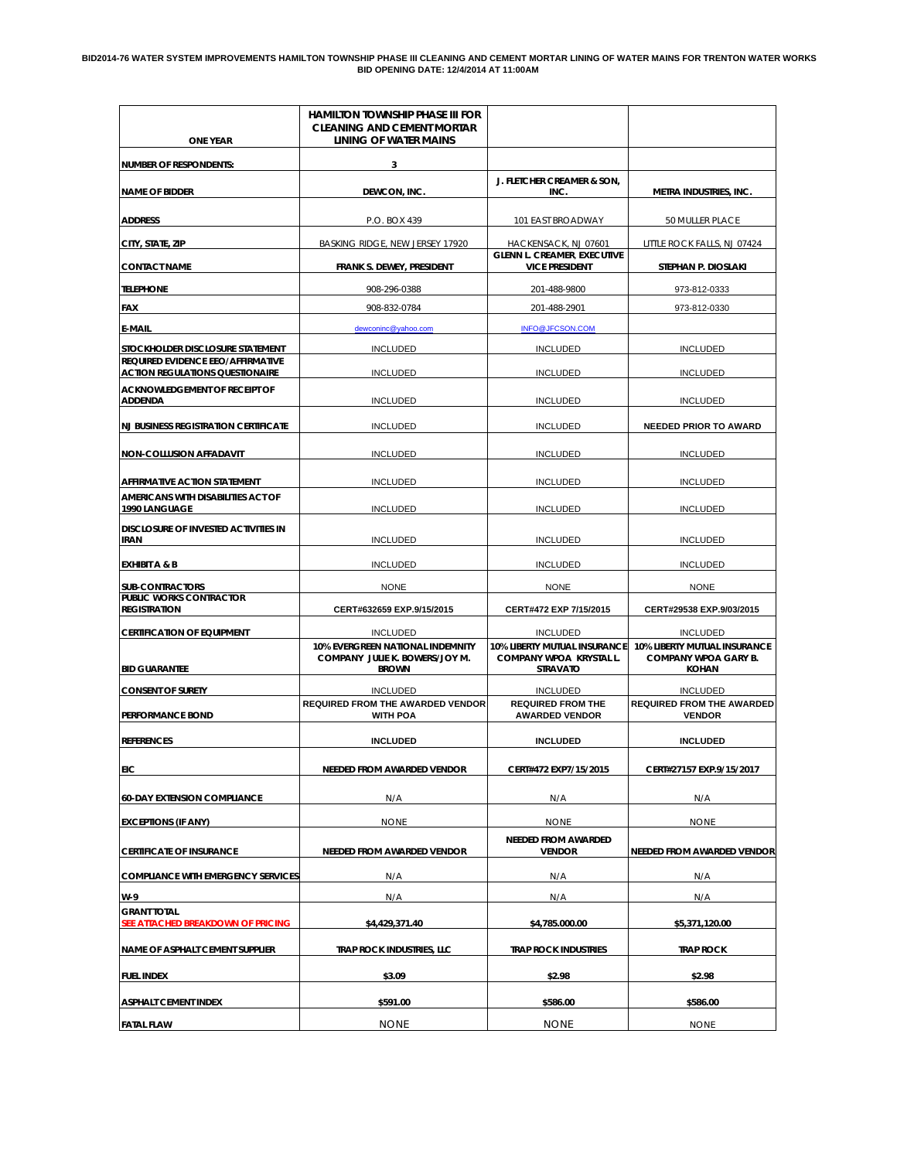# BID2014-76 WATER SYSTEM IMPROVEMENTS HAMILTON TOWNSHIP PHASE III CLEANING AND CEMENT MORTAR LINING OF WATER MAINS FOR TRENTON WATER WORKS<br>BID OPENING DATE: 12/4/2014 AT 11:00AM

| <b>ONE YEAR</b>                                                             | HAMILTON TOWNSHIP PHASE III FOR<br><b>CLEANING AND CEMENT MORTAR</b><br>LINING OF WATER MAINS |                                                                            |                                                                             |
|-----------------------------------------------------------------------------|-----------------------------------------------------------------------------------------------|----------------------------------------------------------------------------|-----------------------------------------------------------------------------|
| <b>NUMBER OF RESPONDENTS:</b>                                               | 3                                                                                             |                                                                            |                                                                             |
| <b>NAME OF BIDDER</b>                                                       | DEWCON, INC.                                                                                  | J. FLETCHER CREAMER & SON,<br>INC.                                         | METRA INDUSTRIES, INC.                                                      |
| <b>ADDRESS</b>                                                              | P.O. BOX 439                                                                                  | 101 EAST BROADWAY                                                          | 50 MULLER PLACE                                                             |
| CITY, STATE, ZIP                                                            | BASKING RIDGE, NEW JERSEY 17920                                                               | HACKENSACK, NJ 07601                                                       | LITTLE ROCK FALLS, NJ 07424                                                 |
| <b>CONTACT NAME</b>                                                         | FRANK S. DEWEY, PRESIDENT                                                                     | <b>GLENN L. CREAMER, EXECUTIVE</b><br><b>VICE PRESIDENT</b>                | STEPHAN P. DIOSLAKI                                                         |
| <b>TELEPHONE</b>                                                            | 908-296-0388                                                                                  | 201-488-9800                                                               | 973-812-0333                                                                |
| FAX                                                                         | 908-832-0784                                                                                  | 201-488-2901                                                               | 973-812-0330                                                                |
| E-MAIL                                                                      | dewconinc@yahoo.com                                                                           | <b>INFO@JFCSON.COM</b>                                                     |                                                                             |
| STOCKHOLDER DISCLOSURE STATEMENT                                            | <b>INCLUDED</b>                                                                               | <b>INCLUDED</b>                                                            | <b>INCLUDED</b>                                                             |
| REQUIRED EVIDENCE EEO/AFFIRMATIVE<br><b>ACTION REGULATIONS QUESTIONAIRE</b> | <b>INCLUDED</b>                                                                               | <b>INCLUDED</b>                                                            | <b>INCLUDED</b>                                                             |
| <b>ACKNOWLEDGEMENT OF RECEIPT OF</b><br><b>ADDENDA</b>                      | <b>INCLUDED</b>                                                                               | <b>INCLUDED</b>                                                            | <b>INCLUDED</b>                                                             |
| <b>NJ BUSINESS REGISTRATION CERTIFICATE</b>                                 | <b>INCLUDED</b>                                                                               | <b>INCLUDED</b>                                                            | <b>NEEDED PRIOR TO AWARD</b>                                                |
| <b>NON-COLLUSION AFFADAVIT</b>                                              | <b>INCLUDED</b>                                                                               | <b>INCLUDED</b>                                                            | <b>INCLUDED</b>                                                             |
| AFFIRMATIVE ACTION STATEMENT                                                | <b>INCLUDED</b>                                                                               | <b>INCLUDED</b>                                                            | <b>INCLUDED</b>                                                             |
| AMERICANS WITH DISABILITIES ACT OF<br>1990 LANGUAGE                         | <b>INCLUDED</b>                                                                               | <b>INCLUDED</b>                                                            | <b>INCLUDED</b>                                                             |
| <b>DISCLOSURE OF INVESTED ACTIVITIES IN</b><br>IRAN                         | <b>INCLUDED</b>                                                                               | <b>INCLUDED</b>                                                            | <b>INCLUDED</b>                                                             |
| <b>EXHIBIT A &amp; B</b>                                                    | <b>INCLUDED</b>                                                                               | <b>INCLUDED</b>                                                            | <b>INCLUDED</b>                                                             |
| <b>SUB-CONTRACTORS</b>                                                      | <b>NONE</b>                                                                                   | <b>NONE</b>                                                                | <b>NONE</b>                                                                 |
| PUBLIC WORKS CONTRACTOR<br><b>REGISTRATION</b>                              | CERT#632659 EXP.9/15/2015                                                                     | CERT#472 EXP 7/15/2015                                                     | CERT#29538 EXP.9/03/2015                                                    |
| <b>CERTIFICATION OF EQUIPMENT</b>                                           | <b>INCLUDED</b>                                                                               | <b>INCLUDED</b>                                                            | <b>INCLUDED</b>                                                             |
| <b>BID GUARANTEE</b>                                                        | <b>10% EVERGREEN NATIONAL INDEMNITY</b><br>COMPANY JULIE K. BOWERS/JOY M.<br><b>BROWN</b>     | 10% LIBERTY MUTUAL INSURANCE<br>COMPANY WPOA KRYSTAL L.<br><b>STRAVATO</b> | 10% LIBERTY MUTUAL INSURANCE<br><b>COMPANY WPOA GARY B.</b><br><b>KOHAN</b> |
| <b>CONSENT OF SURETY</b>                                                    | <b>INCLUDED</b>                                                                               | <b>INCLUDED</b>                                                            | <b>INCLUDED</b>                                                             |
| PERFORMANCE BOND                                                            | <b>REQUIRED FROM THE AWARDED VENDOR</b><br><b>WITH POA</b>                                    | <b>REQUIRED FROM THE</b><br><b>AWARDED VENDOR</b>                          | <b>REQUIRED FROM THE AWARDED</b><br><b>VENDOR</b>                           |
| <b>REFERENCES</b>                                                           | <b>INCLUDED</b>                                                                               | <b>INCLUDED</b>                                                            | <b>INCLUDED</b>                                                             |
| EIC                                                                         | NEEDED FROM AWARDED VENDOR                                                                    | CERT#472 EXP7/15/2015                                                      | CERT#27157 EXP.9/15/2017                                                    |
| <b>60-DAY EXTENSION COMPLIANCE</b>                                          | N/A                                                                                           | N/A                                                                        | N/A                                                                         |
| <b>EXCEPTIONS (IF ANY)</b>                                                  | <b>NONE</b>                                                                                   | <b>NONE</b>                                                                | <b>NONE</b>                                                                 |
| <b>CERTIFICATE OF INSURANCE</b>                                             | <b>NEEDED FROM AWARDED VENDOR</b>                                                             | <b>NEEDED FROM AWARDED</b><br><b>VENDOR</b>                                | <b>NEEDED FROM AWARDED VENDOR</b>                                           |
| <b>COMPLIANCE WITH EMERGENCY SERVICES</b>                                   | N/A                                                                                           | N/A                                                                        | N/A                                                                         |
| W-9                                                                         | N/A                                                                                           | N/A                                                                        | N/A                                                                         |
| <b>GRANT TOTAL</b><br>SEE ATTACHED BREAKDOWN OF PRICING                     | \$4,429,371.40                                                                                | \$4,785.000.00                                                             | \$5,371,120.00                                                              |
| NAME OF ASPHALT CEMENT SUPPLIER                                             | TRAP ROCK INDUSTRIES, LLC                                                                     | <b>TRAP ROCK INDUSTRIES</b>                                                | <b>TRAP ROCK</b>                                                            |
| <b>FUEL INDEX</b>                                                           | \$3.09                                                                                        | \$2.98                                                                     | \$2.98                                                                      |
| <b>ASPHALT CEMENT INDEX</b>                                                 | \$591.00                                                                                      | \$586.00                                                                   | \$586.00                                                                    |
| <b>FATAL FLAW</b>                                                           | <b>NONE</b>                                                                                   | <b>NONE</b>                                                                | <b>NONE</b>                                                                 |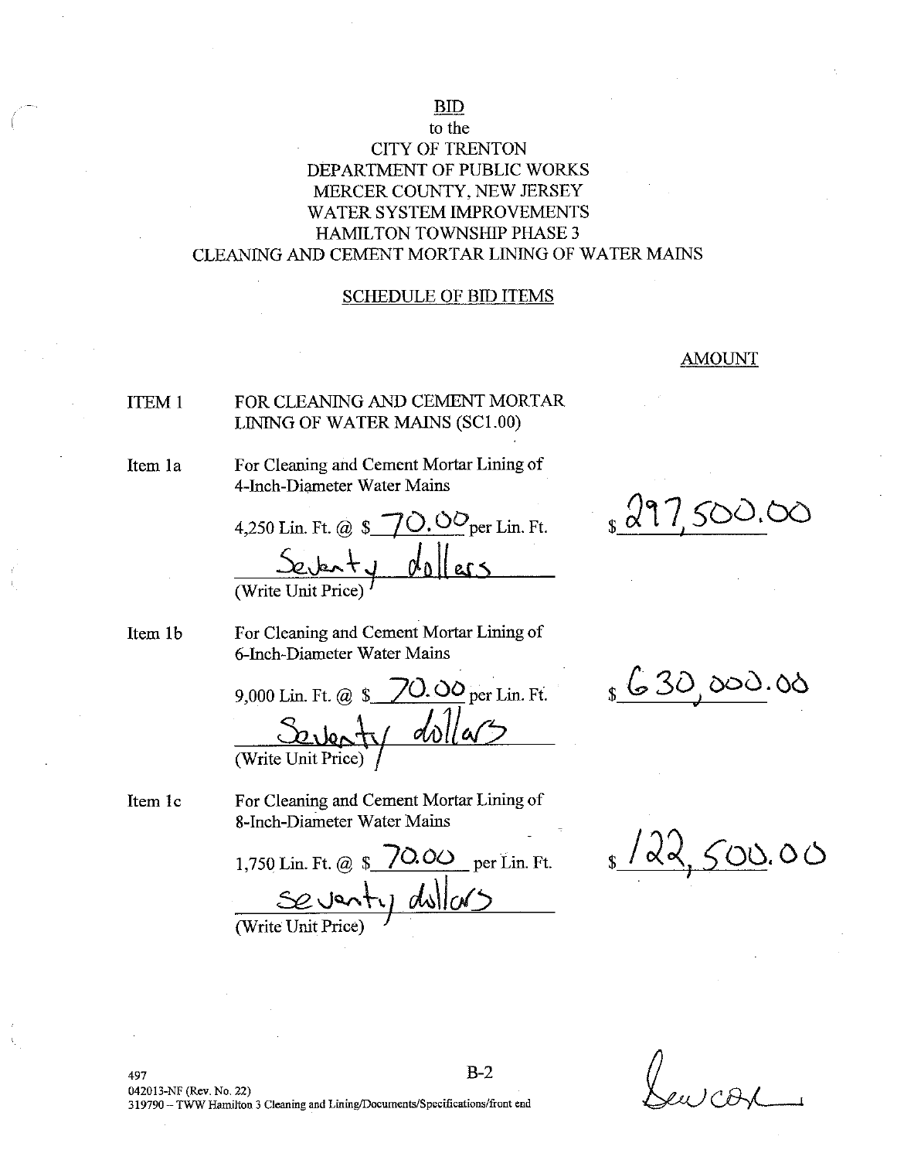# **BID**

## to the **CITY OF TRENTON** DEPARTMENT OF PUBLIC WORKS MERCER COUNTY, NEW JERSEY WATER SYSTEM IMPROVEMENTS **HAMILTON TOWNSHIP PHASE 3** CLEANING AND CEMENT MORTAR LINING OF WATER MAINS

### **SCHEDULE OF BID ITEMS**

### **AMOUNT**

500.0

#### FOR CLEANING AND CEMENT MORTAR **ITEM1** LINING OF WATER MAINS (SC1.00)

Item 1a

For Cleaning and Cement Mortar Lining of 4-Inch-Diameter Water Mains

4.250 Lin. Ft. @  $\sqrt{$}$   $\sqrt{$}$   $\sqrt{$}$   $\frac{1}{2}$   $\sqrt{$}$   $\frac{1}{2}$   $\frac{1}{2}$   $\frac{1}{2}$   $\frac{1}{2}$   $\frac{1}{2}$   $\frac{1}{2}$   $\frac{1}{2}$   $\frac{1}{2}$   $\frac{1}{2}$   $\frac{1}{2}$   $\frac{1}{2}$   $\frac{1}{2}$   $\frac{1}{2}$   $\frac{1}{2}$   $\frac{1}{2}$   $\frac{1}{2}$   $\frac{1}{$ (Write Unit Price)

Item 1b

For Cleaning and Cement Mortar Lining of 6-Inch-Diameter Water Mains

70. 00 per Lin. Ft. 9,000 Lin. Ft. @ \$  $S<sub>0</sub>$  ,  $\ln$  $d\Lambda$ (Write Unit Price)

Item 1c

For Cleaning and Cement Mortar Lining of 8-Inch-Diameter Water Mains

1,750 Lin. Ft. @ \$ 70.00 per Lin. Ft. Conty dullars

 $500.00$ / ∝∘

 $_{s}$  630,000.00

 $B-2$ 497 042013-NF (Rev. No. 22) 319790 - TWW Hamilton 3 Cleaning and Lining/Documents/Specifications/front end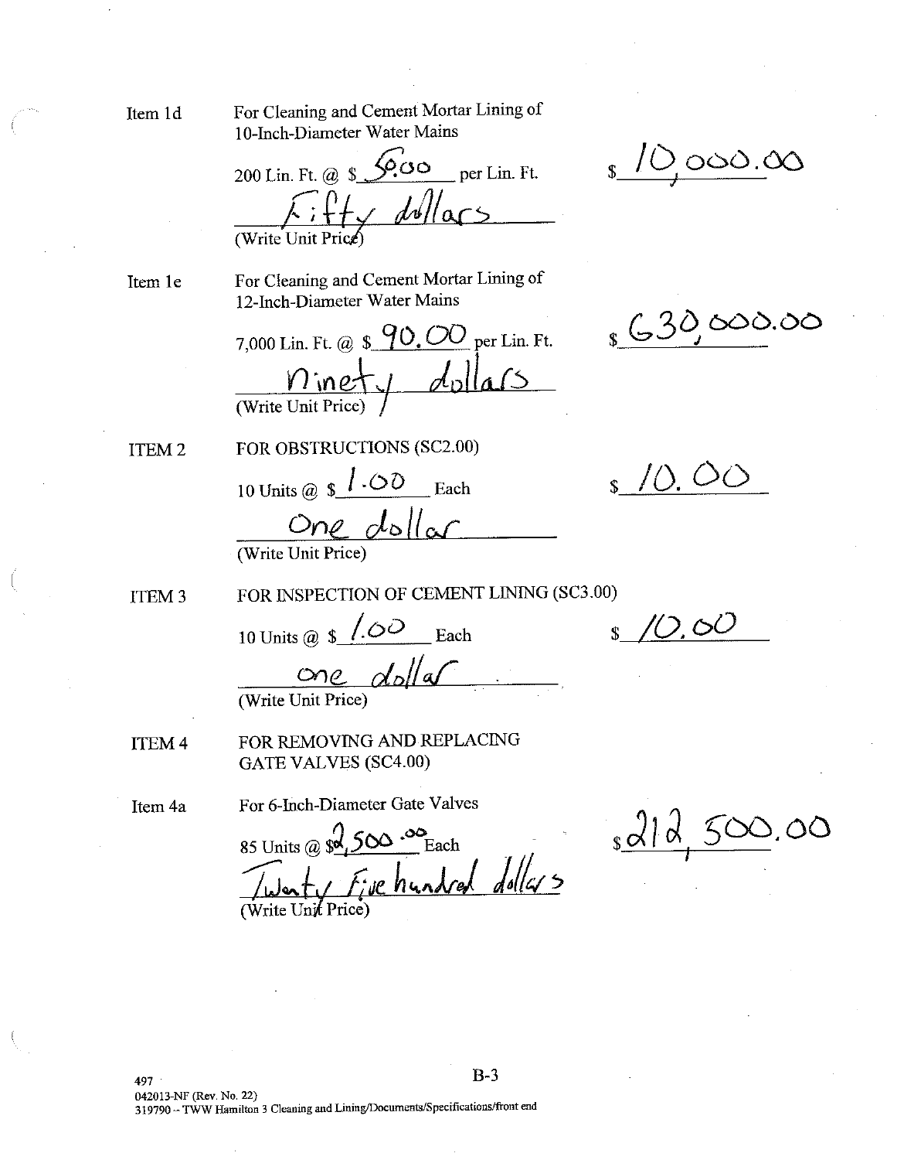For Cleaning and Cement Mortar Lining of Item 1d 10-Inch-Diameter Water Mains

 $\& \circ$  $per Lin. Ft.$ 200 Lin. Ft. @ \$  $24.7$  dollars (Write Unit)

Item 1e

For Cleaning and Cement Mortar Lining of 12-Inch-Diameter Water Mains

7,000 Lin. Ft. @  $\frac{90,00}{9}$  per Lin. Ft.  $\frac{n_{\text{inet}}}{( \text{Write Unit Price})}$  dollars

ITEM<sub>2</sub>

FOR OBSTRUCTIONS (SC2.00) 10 Units @  $\oint$  .00 Each  $One$   $d$ <sub>o</sub>ll  $\alpha$ </u>

FOR INSPECTION OF CEMENT LINING (SC3.00) ITEM<sub>3</sub>

10 Units @  $\sin 10^\circ$  Each

 $\frac{C\cap C}{(\text{Write Unit Price})}$ 

FOR REMOVING AND REPLACING **ITEM 4 GATE VALVES (SC4.00)** 

Item 4a

# For 6-Inch-Diameter Gate Valves

85 Units @  $\sqrt{3}$ ,  $500 - 80$  Each When five hundred dollars

810,000.00

 $\frac{1}{8}$  (30,000.00)

 $\frac{1}{2}$  /0.00

10.60

<u>solld</u> 500  $\circlearrowright$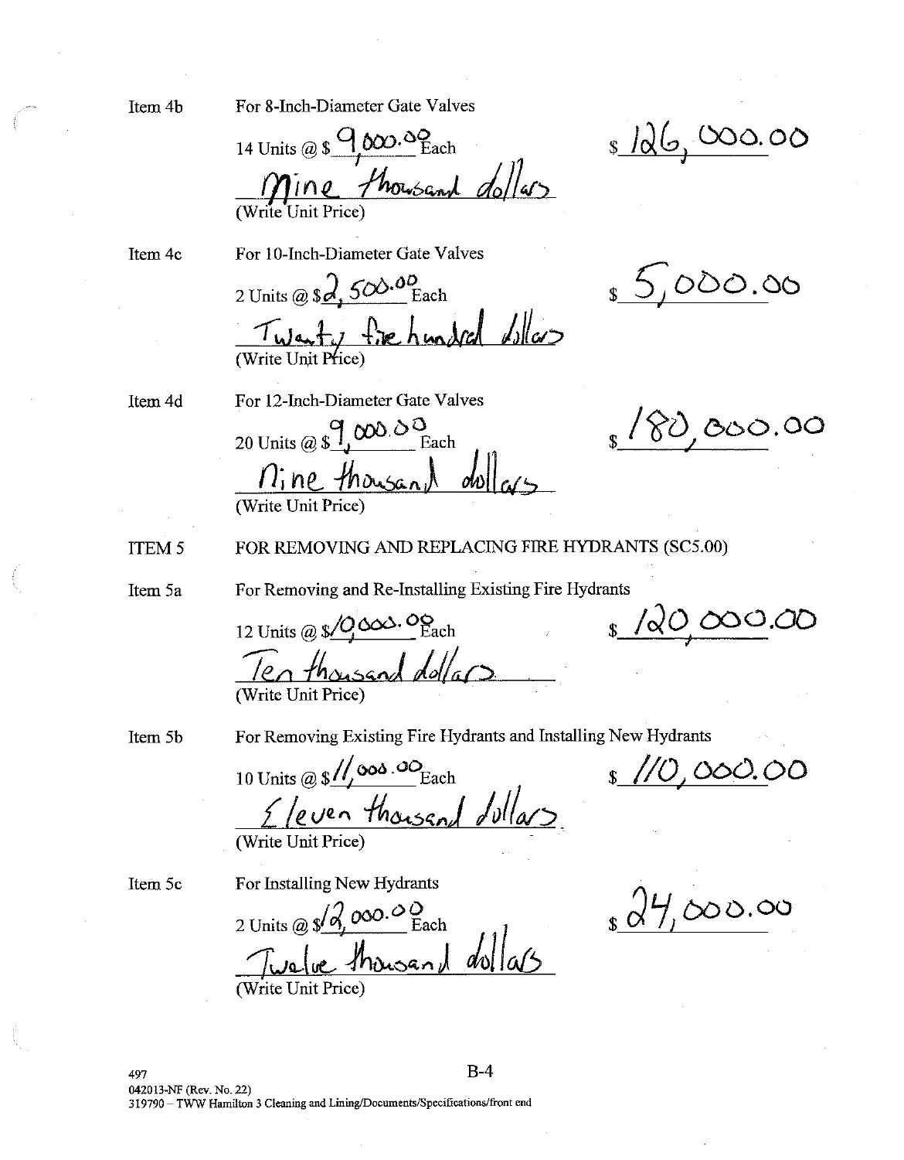Item 4b

For 8-Inch-Diameter Gate Valves

14 Units @ \$ 9,000.00 Each Mine thousand dollars

<u>s 126,000.00</u>

 $5,000.00$ 

Item 4c

For 10-Inch-Diameter Gate Valves

2 Units @  $\Omega$ ,  $500.00$  Each Twenty five hundred dollars

For 12-Inch-Diameter Gate Valves 20 Units @  $\int_{0}^{q} \frac{\omega}{\omega} \frac{\omega}{\omega}$  Each <u>Mine thousand dollars</u>

 $_1$  /  $80$  , 000.00

Item 4d

FOR REMOVING AND REPLACING FIRE HYDRANTS (SC5.00) **ITEM 5** 

Item 5a

For Removing and Re-Installing Existing Fire Hydrants

12 Units @ \$ 0 000. OS Each Ten thousand dollars

 $\frac{1}{8}$  /20,000.00

Item 5b

For Removing Existing Fire Hydrants and Installing New Hydrants

10 Units @  $\frac{s}{\sqrt{2}}$   $\frac{\cos 300}{\cos 200}$  Each Eleven thousand dollars

(Write Unit Price)

Item 5c

For Installing New Hydrants

2 Units @  $\sqrt{2}$ , 000.00 Each Twalve thousand dollars (Write Unit Price)

 $\frac{1}{2}dH_{1}\infty$ 00.00

 $\frac{s}{10}$ ,000.00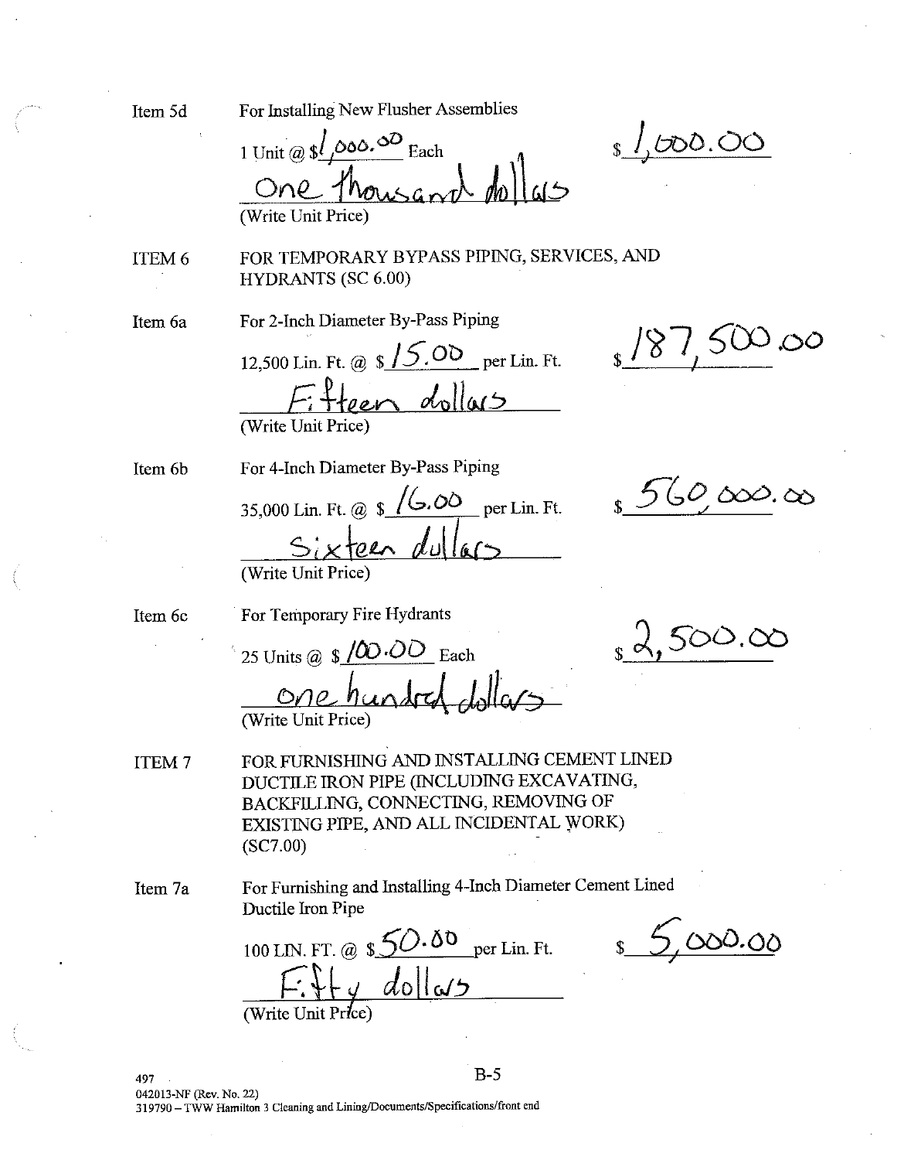**HYDRANTS (SC 6.00)** For 2-Inch Diameter By-Pass Piping Item 6a  $'$   $\chi'$ 12,500 Lin. Ft. @  $\sqrt{s}$  /  $\frac{\sqrt{5}}{200}$  per Lin. Ft. Fifteen dollars (Write Unit Price) For 4-Inch Diameter By-Pass Piping Item 6b 35,000 Lin. Ft. @  $\sqrt{\frac{6.00}{2}}$  per Lin. Ft. Sixteen dullar (Write Unit Price For Temporary Fire Hydrants Item 6c 25 Units @  $\sqrt{$\omega$}\cdot\overline{OO}$  Each One hundr FOR FURNISHING AND INSTALLING CEMENT LINED ITEM<sub>7</sub> DUCTILE IRON PIPE (INCLUDING EXCAVATING, BACKFILLING, CONNECTING, REMOVING OF EXISTING PIPE, AND ALL INCIDENTAL WORK)  $(SC7.00)$ For Furnishing and Installing 4-Inch Diameter Cement Lined Item 7a Ductile Iron Pipe 100 LIN. FT. @  $\frac{\mathcal{S}}{\mathcal{S}}$   $\frac{\mathcal{S}}{\mathcal{S}}$  per Lin. Ft.  $+x+y$  dollars  $B-5$ 497 042013-NF (Rev. No. 22) 319790 - TWW Hamilton 3 Cleaning and Lining/Documents/Specifications/front end

Item 5d

For Installing New Flusher Assemblies

 $1$  Unit @  $\frac{\mathcal{S}}{\sqrt{2}}$ ,000.00 Each One than (Write Unit Price)

FOR TEMPORARY BYPASS PIPING, SERVICES, AND

 $1,000.00$ 

ITEM 6

 $560,000.00$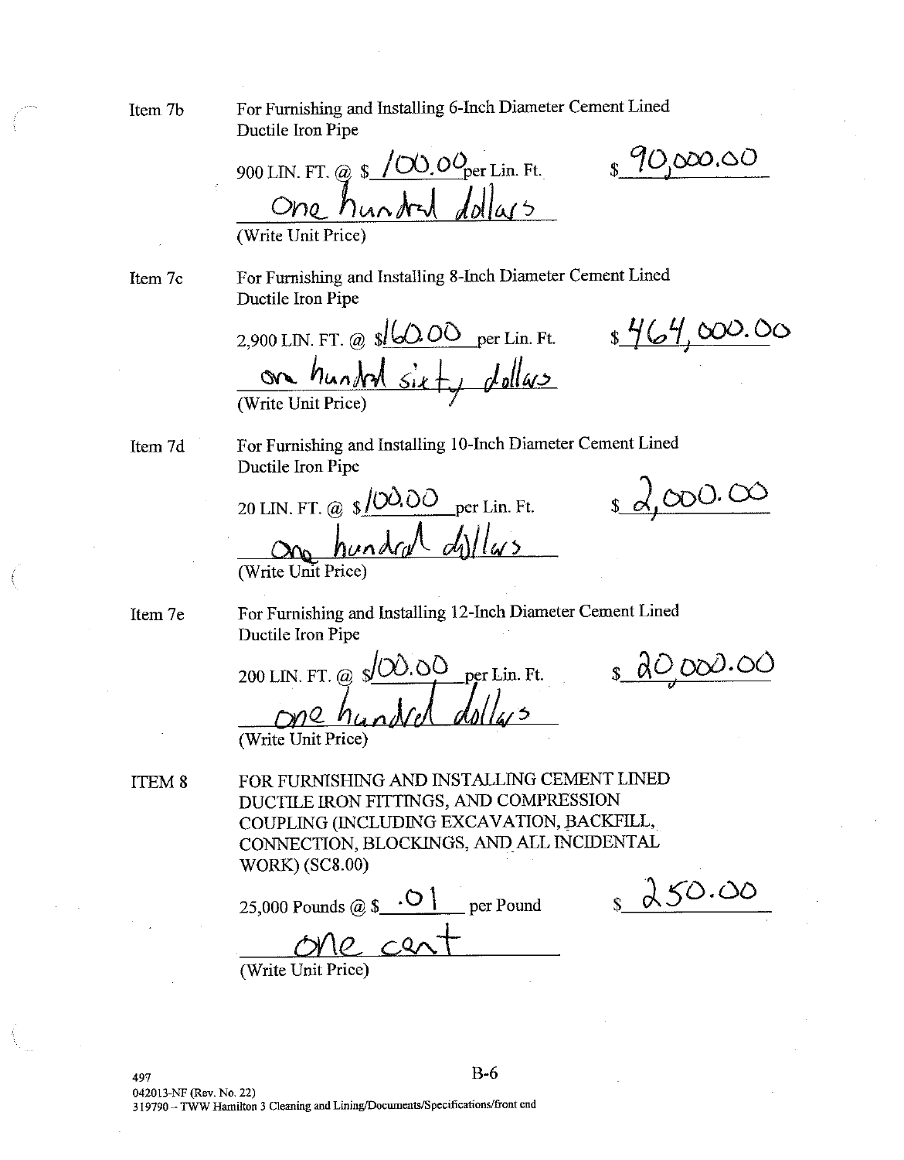For Furnishing and Installing 6-Inch Diameter Cement Lined Item 7b Ductile Iron Pipe  $$90,000.00$ 900 LIN. FT. @ \$  $\frac{\sqrt{\alpha}0.00}{\sqrt{\alpha}1.00}$  Lin. Ft. (Write Unit Price For Furnishing and Installing 8-Inch Diameter Cement Lined Item 7c Ductile Iron Pipe 2,900 LIN. FT. @  $\frac{s/\omega 0}{\omega}$  per Lin. Ft.  $\frac{s/\omega}{\omega}$ ,  $\frac{\omega}{\omega}$ . 00 on hundred sixty dollars For Furnishing and Installing 10-Inch Diameter Cement Lined Item 7d Ductile Iron Pipe  $s d.000.00$ 20 LIN. FT. @  $\sqrt{(00.00)}$  per Lin. Ft. on hundred dillas (Write Unit Price For Furnishing and Installing 12-Inch Diameter Cement Lined Item 7e Ductile Iron Pipe  $s$  do 000.00 200 LIN. FT. @  $\frac{\sqrt{00.00}}{1}$  per Lin. Ft. (Write Unit Price) FOR FURNISHING AND INSTALLING CEMENT LINED ITEM 8 DUCTILE IRON FITTINGS, AND COMPRESSION COUPLING (INCLUDING EXCAVATION, BACKFILL, CONNECTION, BLOCKINGS, AND ALL INCIDENTAL **WORK) (SC8.00)**  $8450.00$ 25,000 Pounds @  $\frac{\odot}{}$  . O | per Pound  $c_{2}$ (Write Unit Price)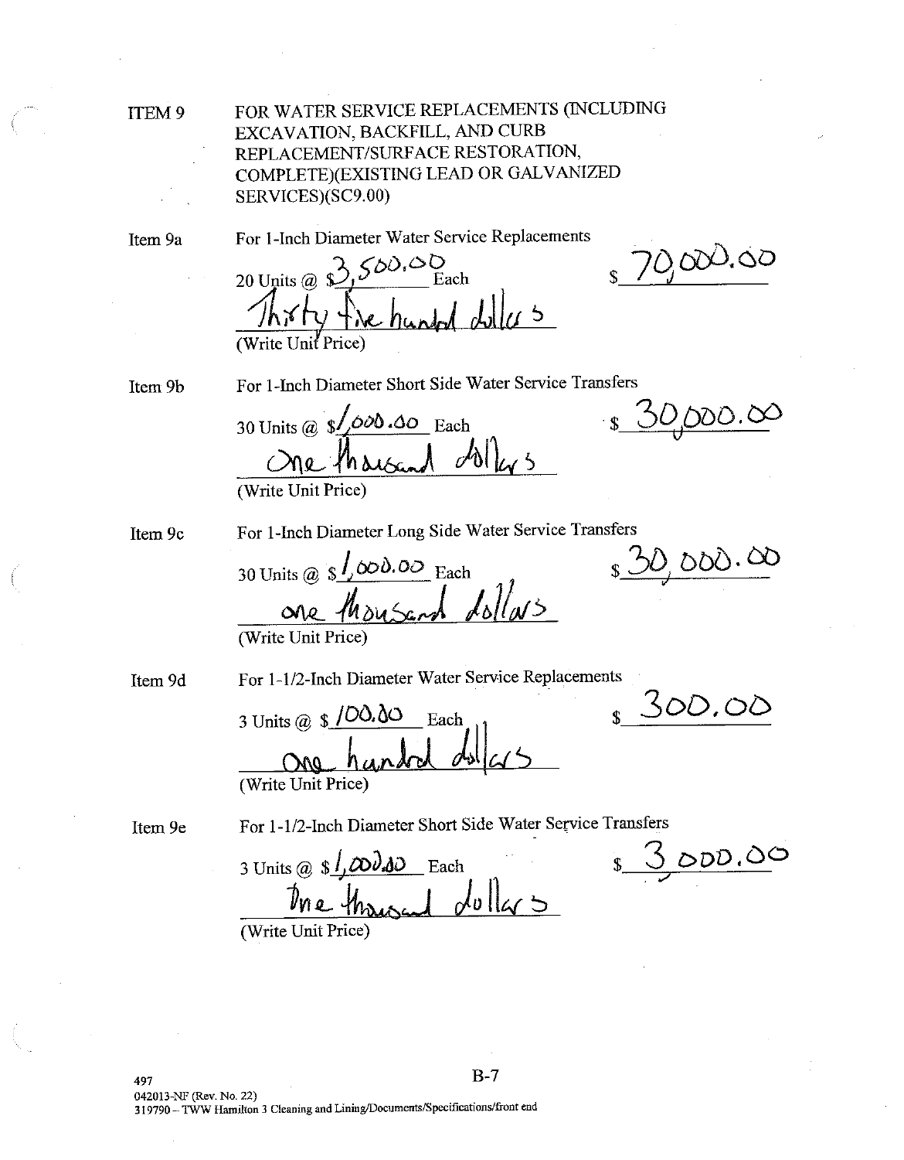**ITEM9** 

FOR WATER SERVICE REPLACEMENTS (INCLUDING EXCAVATION, BACKFILL, AND CURB REPLACEMENT/SURFACE RESTORATION, COMPLETE)(EXISTING LEAD OR GALVANIZED SERVICES)(SC9.00)

Item 9a

For 1-Inch Diameter Water Service Replacements

20 Units @  $3,500,00$ Each  $\overline{1}$ (Write Unit Price)

0,000.00

IO DDO . O

 $10,000.00$ 

500.00

Item 9b

For 1-Inch Diameter Short Side Water Service Transfers

30 Units @  $\sqrt{\frac{\delta}{\delta}}$ .00 .00 Each  $\partial$  $^{\prime}$ h $_{\Lambda}$ (Write Unit Price)

Item 9c

For 1-Inch Diameter Long Side Water Service Transfers

30 Units @  $\sqrt{s}$ ,000.00 Each Moused dollars

(Write Unit Price)

Item 9d

For 1-1/2-Inch Diameter Water Service Replacements

3 Units @  $$100.00$ Each (Write Unit Price)

Item 9e

For 1-1/2-Inch Diameter Short Side Water Service Transfers

3 Units @  $\frac{\mathcal{S}}{\mathcal{S}}$   $\frac{\mathcal{S}}{\mathcal{S}}$   $\frac{\partial \mathcal{S}}{\partial \mathcal{S}}$  Each  $\int dv$ llars

8 3000.00

(Write Unit Price)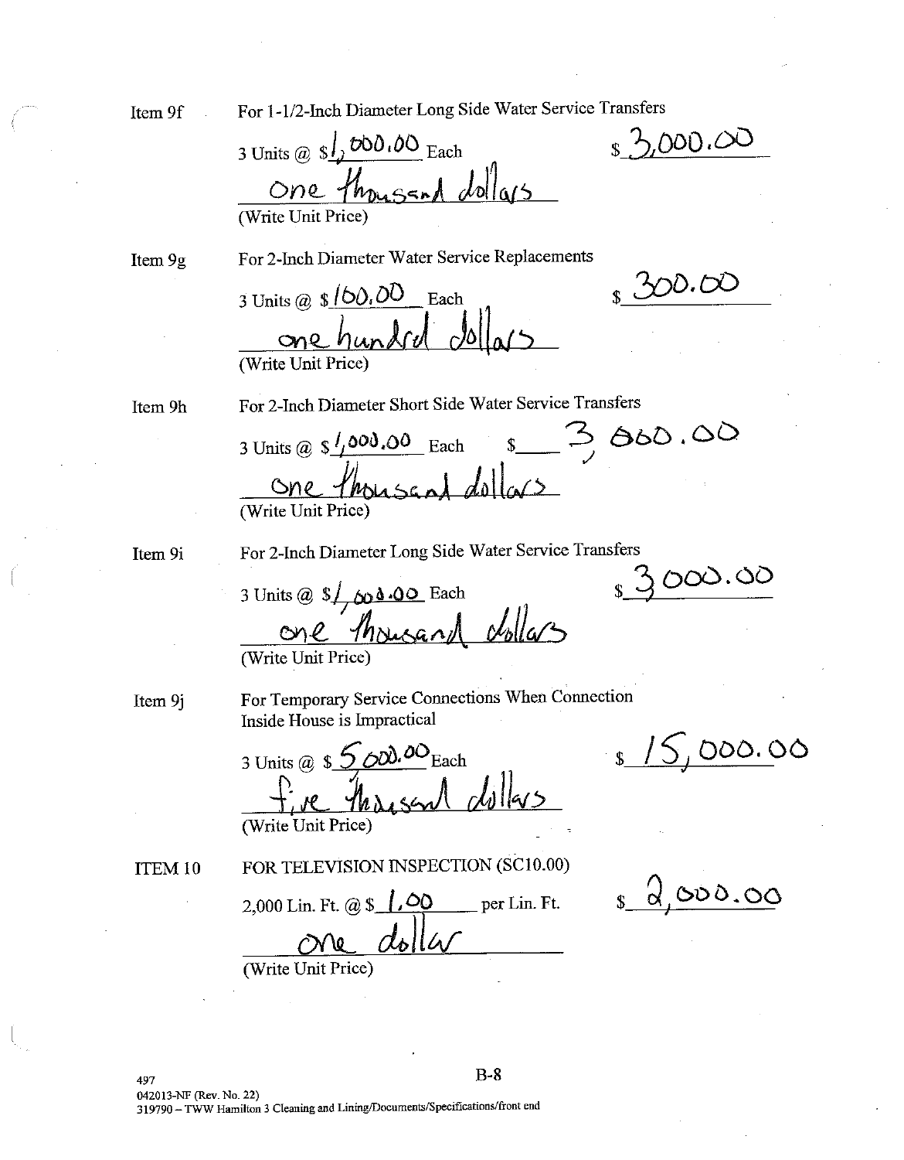Item 9f

For 1-1/2-Inch Diameter Long Side Water Service Transfers

3 Units @  $s/\sqrt{200.00}$  Each One thousand dollars (Write Unit Price)

Item 9g

For 2-Inch Diameter Water Service Replacements

3 Units @  $\frac{\$160.00}{\$}$  Each one hundred (Write Unit Price)

Item 9h

For 2-Inch Diameter Short Side Water Service Transfers

 $s = 3,800.00$ 3 Units @  $\frac{\epsilon}{2}$  / 000.00 Each <u>one thousand dollars</u>

Item 9i

For 2-Inch Diameter Long Side Water Service Transfers  $3000.00$ 

3 Units @  $\oint \phi \cdot 0$  Each One Ansurand dollars

Item 9j

For Temporary Service Connections When Connection Inside House is Impractical

3 Units @  $\frac{5}{2}$   $\frac{600}{2}$   $\frac{100}{2}$  Each (Write Unit Price)

ITEM 10

FOR TELEVISION INSPECTION (SC10.00)

2,000 Lin. Ft. @  $\sqrt{0}$  $\equiv$  per Lin. Ft.  $d_6$ lla 70

(Write Unit Price)

<u>s 2,000.00</u>

 $s$  /5,000.00

 $, 5.000.00$ 

 $200.00$ 

 $B-8$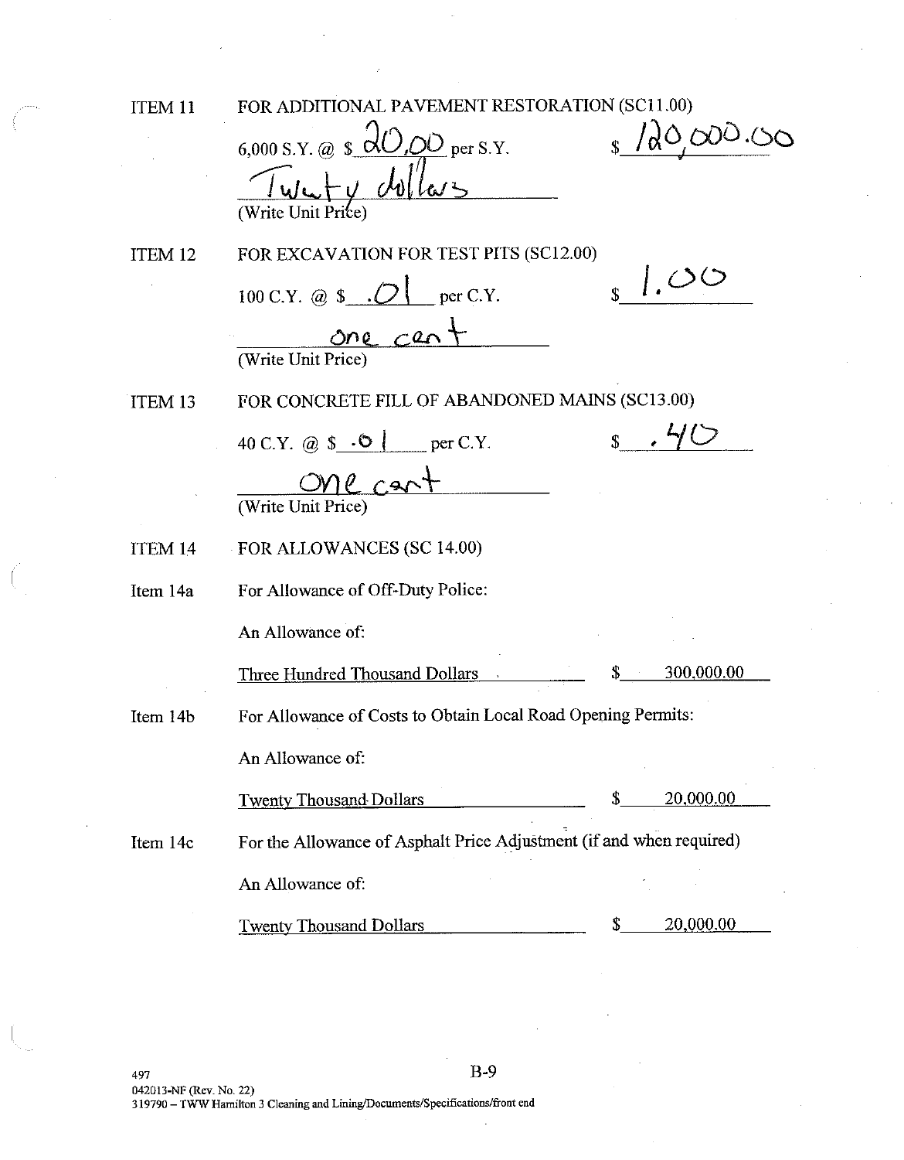ITEM 11

FOR ADDITIONAL PAVEMENT RESTORATION (SC11.00)

 $/20,000.00$ 6,000 S.Y. @  $\sqrt{\frac{1}{10}}$  per S.Y. v dolla FOR EXCAVATION FOR TEST PITS (SC12.00) ITEM 12  $\sqrt{s}$  1.00 100 C.Y. @ \$  $\cdot$  O  $\vert$  per C.Y. one cent (Write Unit Price) FOR CONCRETE FILL OF ABANDONED MAINS (SC13.00) **ITEM 13**  $\sqrt{s}$ . 40 40 C.Y. @  $\$\cdot \bullet\ ]$  per C.Y.  $l$   $C$ (Write Unit Price FOR ALLOWANCES (SC 14.00) **ITEM 14** For Allowance of Off-Duty Police: Item 14a An Allowance of: 300,000.00 Three Hundred Thousand Dollars For Allowance of Costs to Obtain Local Road Opening Permits: Item 14b An Allowance of: 20,000.00 **Twenty Thousand Dollars** For the Allowance of Asphalt Price Adjustment (if and when required) Item 14c An Allowance of: 20,000.00 Twenty Thousand Dollars S.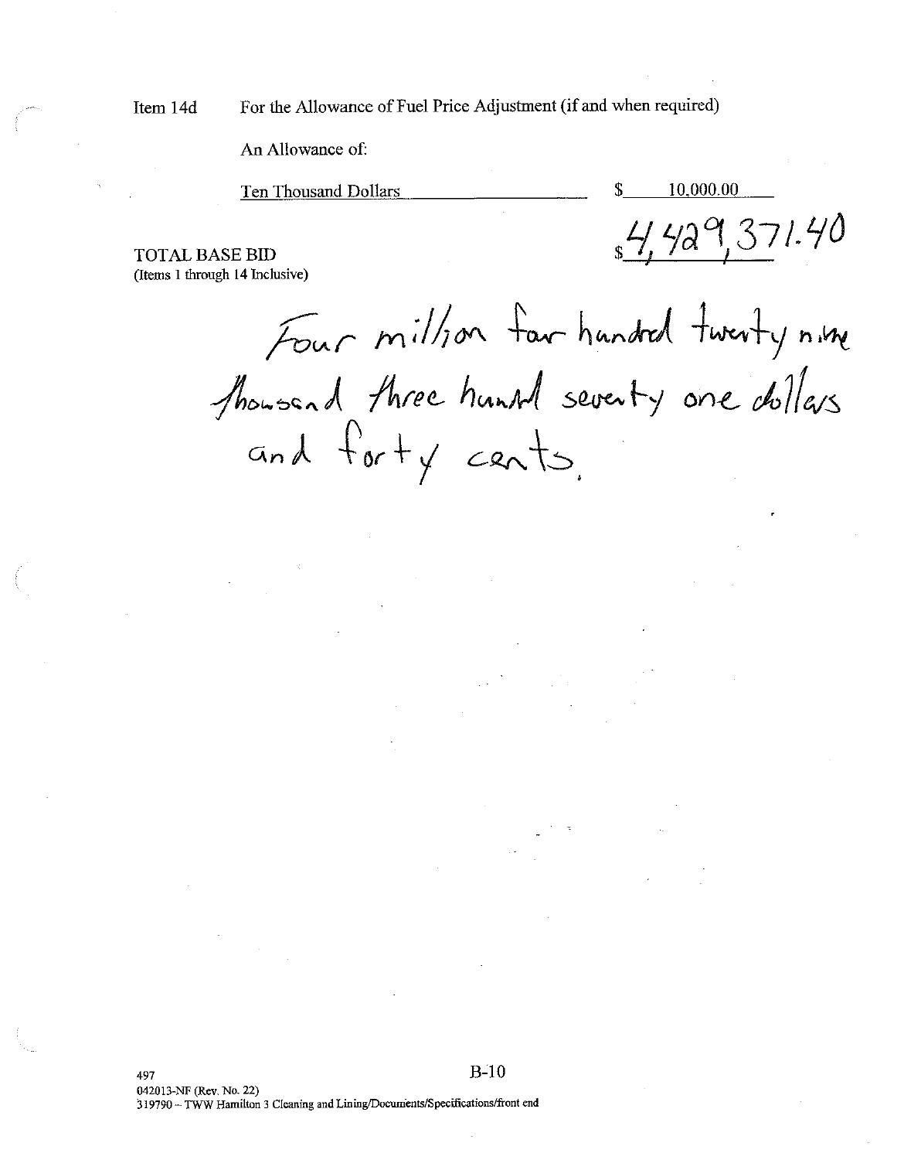Item 14d

For the Allowance of Fuel Price Adjustment (if and when required)

An Allowance of:

Ten Thousand Dollars

10.000.00

\$

 $_{s}$ 4,429,371.40

**TOTAL BASE BID** (Items 1 through 14 Inclusive)

Four million far handed twenty nime Showsend three huntal seventy one dollars and forty cents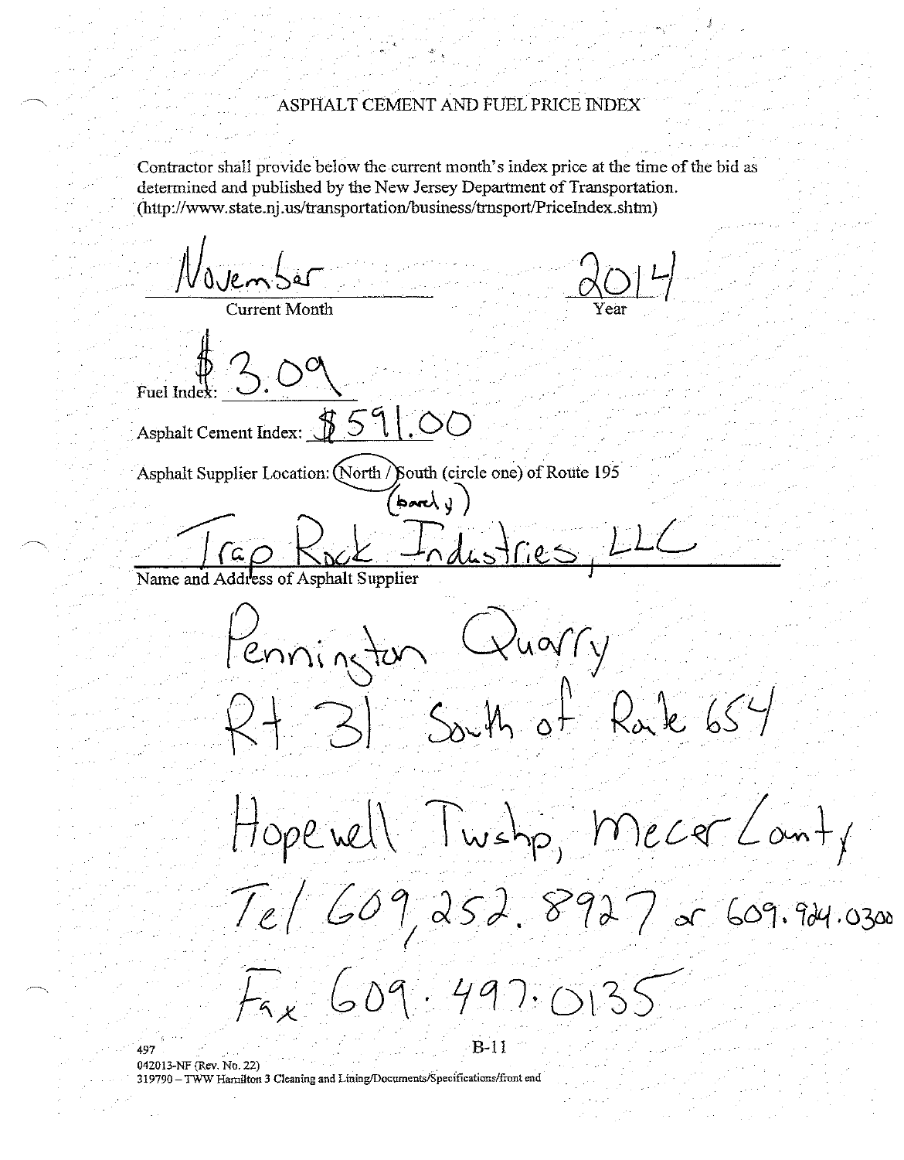### ASPHALT CEMENT AND FUEL PRICE INDEX

Contractor shall provide below the current month's index price at the time of the bid as determined and published by the New Jersey Department of Transportation. (http://www.state.nj.us/transportation/business/trnsport/PriceIndex.shtm)

November **Lurrent Month** Asphalt Cement Index: \$59 Asphalt Supplier Location: (North / South (circle one) of Route 195  $h$  and  $\sqrt{2}$ Name and Address of Asphalt Supplier Pennington Quarry  $31$  South of Rate 654 Hope well Twshp, Mecer Lant, Tel 609, 252. 8927 er 609.924.0300 Fax 609.497.0135

 $B-11$ 

042013-NF (Rev. No. 22) 319790 - TWW Hamilton 3 Cleaning and Lining/Documents/Specifications/front end

497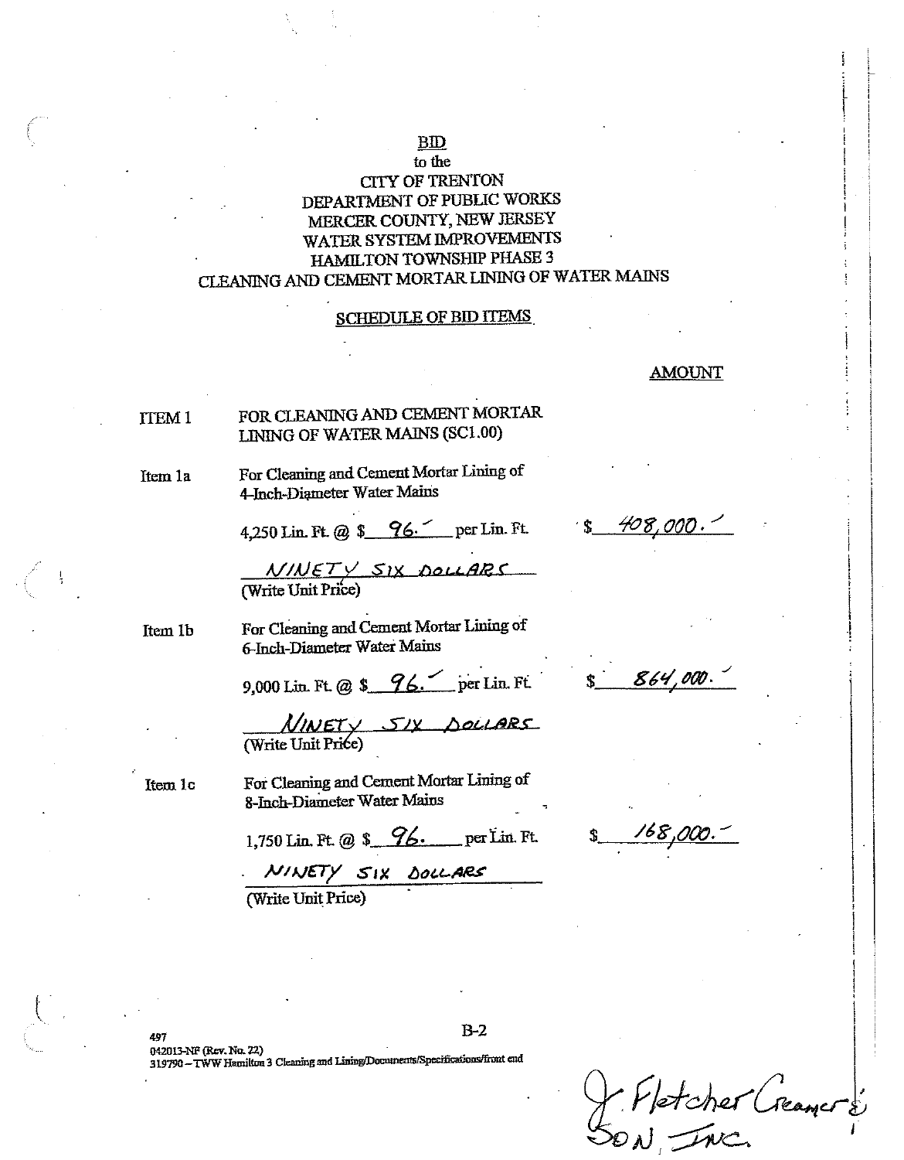### **BID** to the

## **CITY OF TRENTON** DEPARTMENT OF PUBLIC WORKS MERCER COUNTY, NEW JERSEY WATER SYSTEM IMPROVEMENTS **HAMILTON TOWNSHIP PHASE 3** CLEANING AND CEMENT MORTAR LINING OF WATER MAINS

### **SCHEDULE OF BID ITEMS**

### **AMOUNT**

#### FOR CLEANING AND CEMENT MORTAR **TTEM1** LINING OF WATER MAINS (SC1.00)

Item 1a

Item 1c

For Cleaning and Cement Mortar Lining of 4-Inch-Diameter Water Mains

4,250 Lin. Ft. @ \$ 96. per Lin. Ft.

 $\frac{N/NET}{N}$  SIX DOLLARS

For Cleaning and Cement Mortar Lining of Item 1b 6-Inch-Diameter Water Mains

9,000 Lin. Ft. @ \$ 96. per Lin. Ft.

 $MNET \times 51x$  Sociales

For Cleaning and Cement Mortar Lining of 8-Inch-Diameter Water Mains

1,750 Lin. Ft. @ \$ 76. per Lin. Ft.

NINETY SIX DOLLARS

(Write Unit Price)

408,000.

864.000

768

042013-NF (Rev. No. 22) 319790 - TWW Hamilton 3 Cleaning and Lining/Documents/Specifications/front end

X Vetcher (reamers)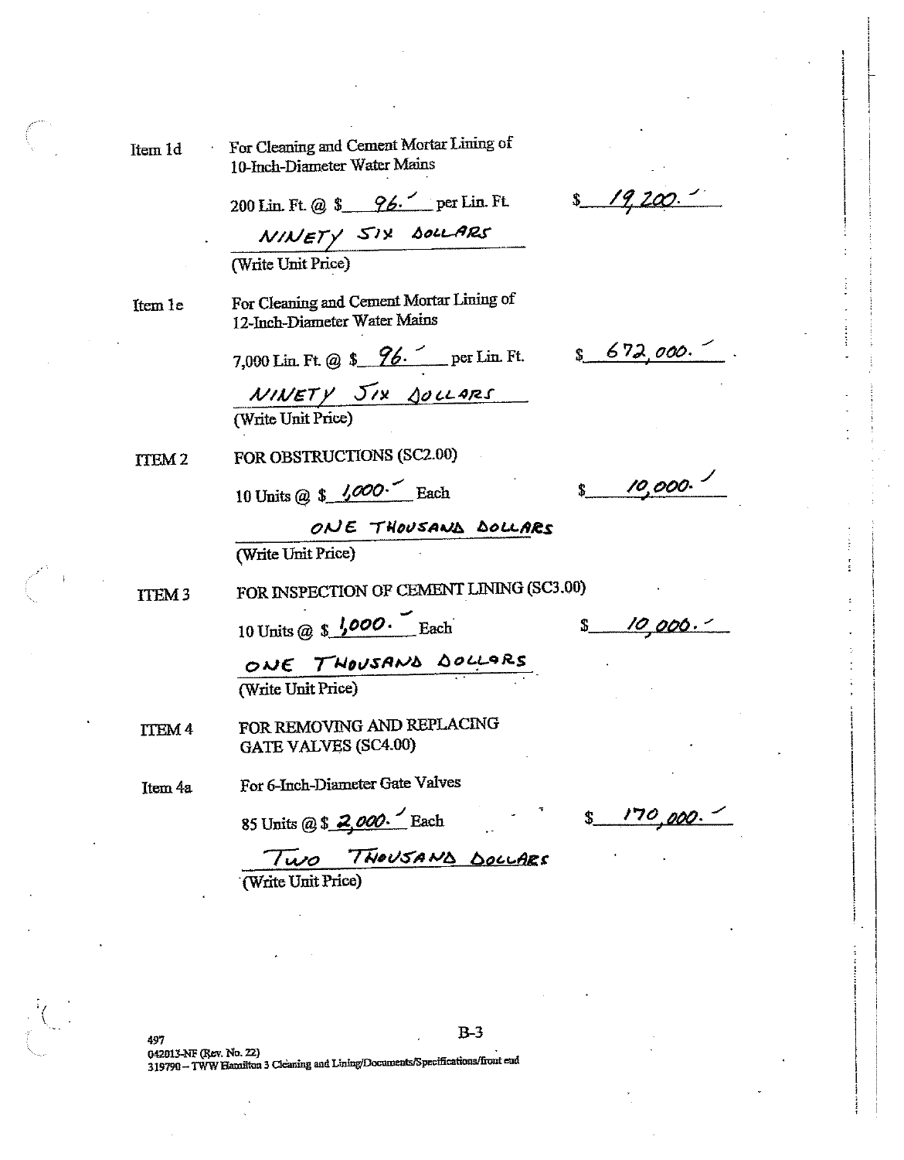Item 1d

For Cleaning and Cement Mortar Lining of 10-Inch-Diameter Water Mains

200 Lin. Ft. @ \$ 96. per Lin. Ft.

 $N/NETY$   $S/N$  boll ARS<br>(Write Unit Price)

Item 1e

For Cleaning and Cement Mortar Lining of 12-Inch-Diameter Water Mains

7,000 Lin. Ft. @ \$  $96 -$  per Lin. Ft.

 $N$ INETY JIX JOLLARS

FOR OBSTRUCTIONS (SC2.00) ITEM<sub>2</sub>

10 Units @  $\frac{\sqrt{000}}{2}$  Each

10,000.

 $$672,000.$ 

ONE THOUSAND DOLLARS (Write Unit Price)

FOR INSPECTION OF CEMENT LINING (SC3.00) **ITEM3** 

10 Units @  $\frac{\sqrt{600}}{\sqrt{60}}$  Each

10 000.  $\mathbf{\hat{S}}$ 

ONE THOUSAND DOLLARS

(Write Unit Price)

FOR REMOVING AND REPLACING **ITEM 4 GATE VALVES (SC4.00)** 

For 6-Inch-Diameter Gate Valves Item 4a

85 Units @ \$ 2,000. Each

170 000.

TWO THOUSAND DOCLARS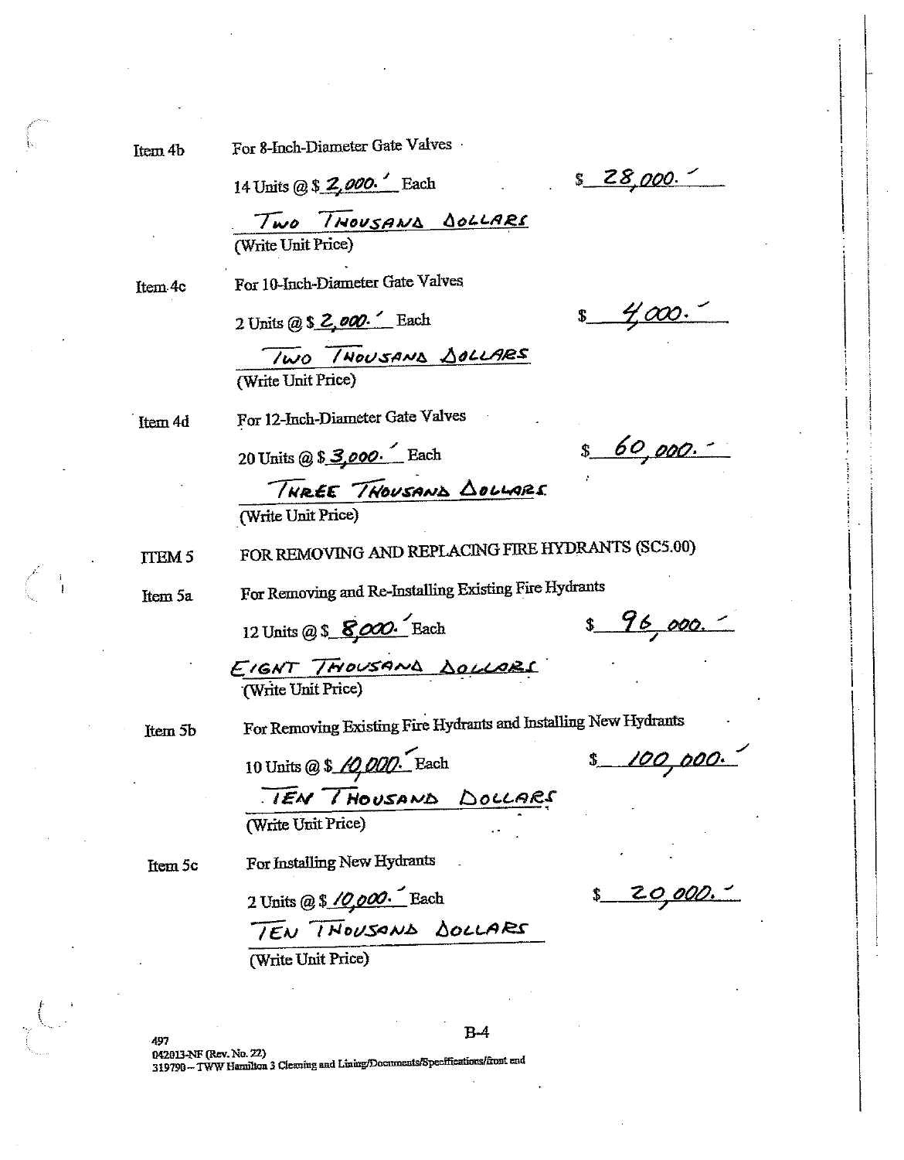Item 4b

For 8-Inch-Diameter Gate Valves

14 Units @ \$ 2,000. Each

 $$28,000.$ 

Two THOUSAND DOLLARS

Item-4c

2 Units (a)  $\frac{1}{2}$ ,  $\frac{1}{2}$ ,  $\frac{1}{2}$  Each

For 10-Inch-Diameter Gate Valves

<u>4.000</u>

TWO THOUSAND DOLLARS (Write Unit Price)

Item 4d

20 Units @ \$ 3,000. Each

For 12-Inch-Diameter Gate Valves

 $$60,000.$ 

THREE THOUSAND DOLLARS (Write Unit Price)

FOR REMOVING AND REPLACING FIRE HYDRANTS (SC5.00) **TTEM 5** 

Item 5a

For Removing and Re-Installing Existing Fire Hydrants

12 Units @ \$ 8,000. Each

 $8, 96, 000.$ 

EIGNT THOUSAND DOLLARS

Item<sub>5b</sub>

For Removing Existing Fire Hydrants and Installing New Hydrants

\$ 100,000.

10 Units @ \$ 10,000. Each TEN THOUSAND DOLLARS (Write Unit Price)

Item 5c

20,000.  $\mathbf{\hat{S}}$ 

TEN THOUSAND DOLLARS

For Installing New Hydrants

2 Units @ \$ 10,000. Each

(Write Unit Price)

 $B-4$ 

042013-NF (Rev. No. 22) 319790-TWW Hamilton 3 Cleaning and Lining/Documents/Specifications/front and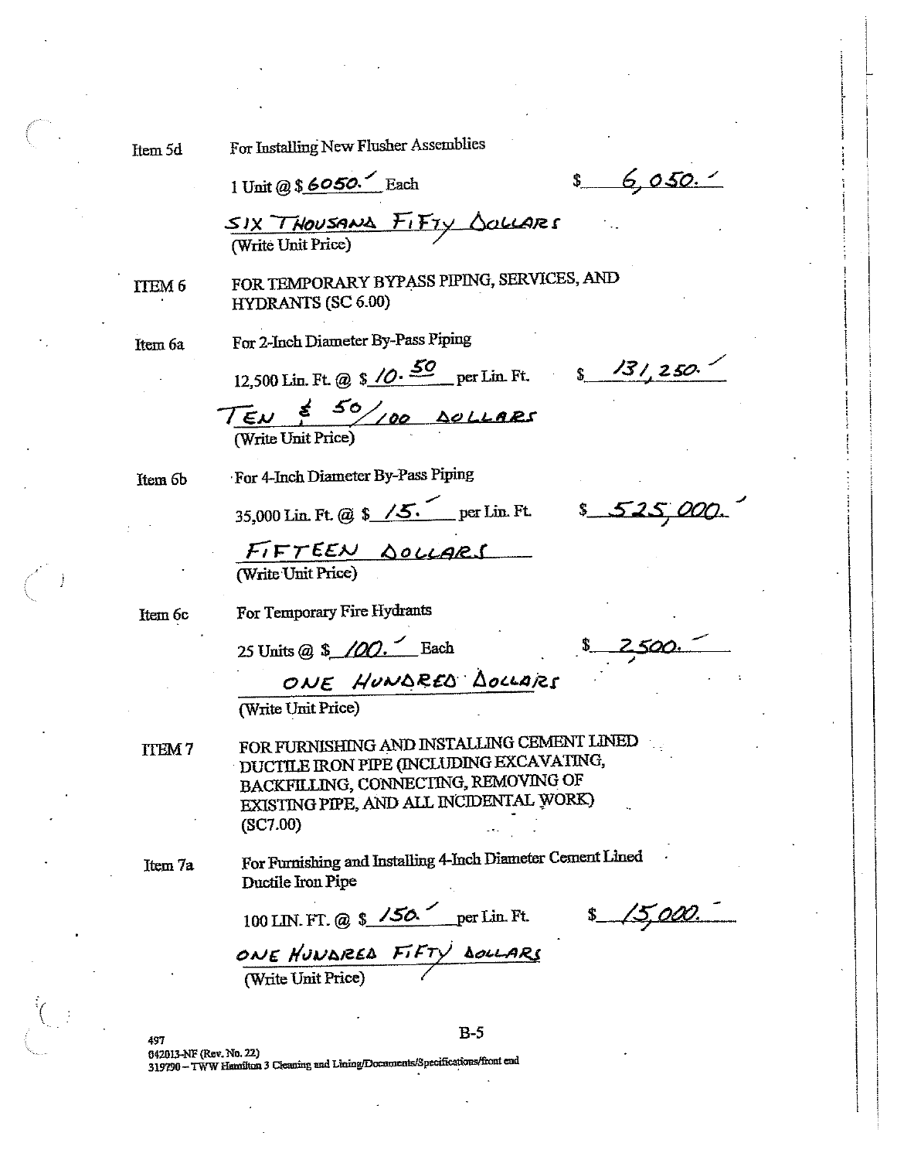Item 5d

For Installing New Flusher Assemblies

1 Unit @ \$6050. Each

 $$6,050.1$ 

SIX THOUSAND FIFTY SOLLARS

ITEM<sub>6</sub>

FOR TEMPORARY BYPASS PIPING, SERVICES, AND **HYDRANTS (SC 6.00)** 

Item 6a

For 2-Inch Diameter By-Pass Piping

12,500 Lin. Ft. @  $\frac{$0, 50}{2}$  per Lin. Ft.  $\frac{$3, 31, 250.}{2}$ 

TEN \$ 50/100 DOLLARS

Item<sub>6</sub>b

For 4-Inch Diameter By-Pass Piping

35,000 Lin. Ft. @ \$ /5. per Lin. Ft. \$ 52

FIFTEEN <u>SOLLARS</u>

Item 6c

For Temporary Fire Hydrants

25 Units @ \$ 100. Each

ONE HUNDRED DOCLARS

(Write Unit Price)

FOR FURNISHING AND INSTALLING CEMENT LINED **TTEM7** DUCTILE IRON PIPE (INCLUDING EXCAVATING, BACKFILLING, CONNECTING, REMOVING OF EXISTING PIPE, AND ALL INCIDENTAL WORK)  $(SC7.00)$ 

Item 7a

For Furnishing and Installing 4-Inch Diameter Cement Lined Ductile Iron Pipe

 $B-5$ 

100 LIN. FT. @  $\frac{\sqrt{50}}{20}$  per Lin. Ft.

 $$15,000.$ 

ONE HUNDRED FIFTY DOLLARS

497 042013-NF (Rev. No. 22) 319790 - TWW Hamilton 3 Cleaning and Lining/Documents/Specifications/front end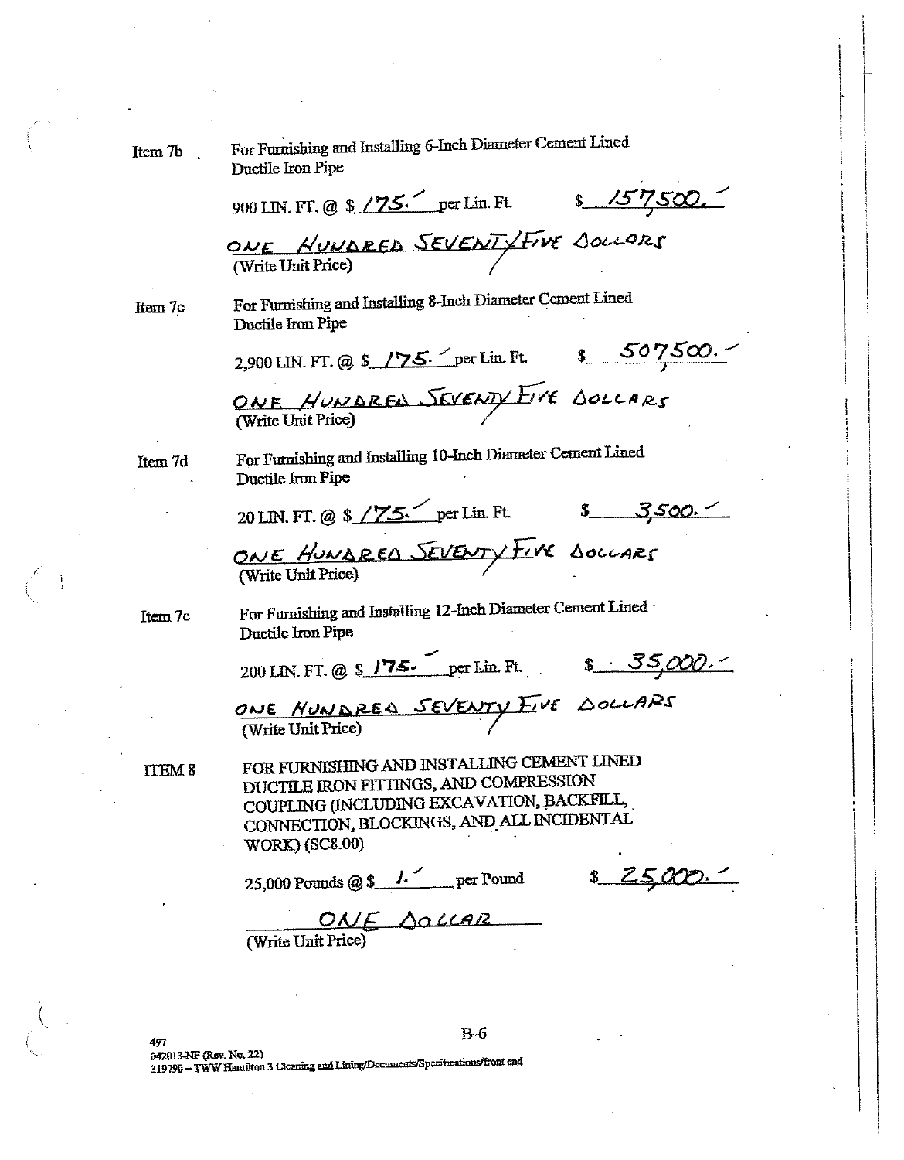| Item 7b       | For Furnishing and Installing 6-Inch Diameter Cement Lined<br>Ductile Iron Pipe                                                                                                                         |  |  |
|---------------|---------------------------------------------------------------------------------------------------------------------------------------------------------------------------------------------------------|--|--|
|               | 900 LIN. FT. @ \$ /75. per Lin. Ft. \$ 157,500.                                                                                                                                                         |  |  |
|               | ONE HUNDRED SEVENTYFINE SOLLORS                                                                                                                                                                         |  |  |
| Item 7c       | For Furnishing and Installing 8-Inch Diameter Cement Lined<br>Ductile Iron Pipe                                                                                                                         |  |  |
|               | 2,900 LIN. FT. @ \$ /75. per Lin. Ft. $$507500.$                                                                                                                                                        |  |  |
|               | ONE HUNDRES SEVENTY EIVE DOLLARS                                                                                                                                                                        |  |  |
| Item 7d       | For Furnishing and Installing 10-Inch Diameter Cement Lined<br>Ductile Iron Pipe                                                                                                                        |  |  |
|               | 20 LIN. FT. @ \$ / $75$ per Lin. Ft. \$ 3,500.                                                                                                                                                          |  |  |
|               | ONE HUNDRED SEVENTY FIVE DOCCARS<br>(Write Unit Price)                                                                                                                                                  |  |  |
| Item 7e       | For Furnishing and Installing 12-Inch Diameter Cement Lined<br>Ductile Iron Pipe                                                                                                                        |  |  |
|               | 200 LIN. FT. @ \$ 175. per Lin. Ft. \$ 35,000.                                                                                                                                                          |  |  |
|               | ONE NUNDRES SEVENTY FIVE DOLLARS                                                                                                                                                                        |  |  |
| <b>ITEM 8</b> | FOR FURNISHING AND INSTALLING CEMENT LINED<br>DUCTILE IRON FITTINGS, AND COMPRESSION<br>COUPLING (INCLUDING EXCAVATION, BACKFILL,<br>CONNECTION, BLOCKINGS, AND ALL INCIDENTAL<br><b>WORK) (SC8.00)</b> |  |  |
|               | <u>s 25</u><br>25,000 Pounds @ $\frac{\sqrt{25}}{20}$ per Pound                                                                                                                                         |  |  |
|               | ONE SOLLAR<br>(Write Unit Price)                                                                                                                                                                        |  |  |
|               |                                                                                                                                                                                                         |  |  |

 $B-6$ 

B-0<br>042013-NF (Rev. No. 22)<br>319790 – TWW Hamilton 3 Cleaning and Lining/Documents/Specifications/front end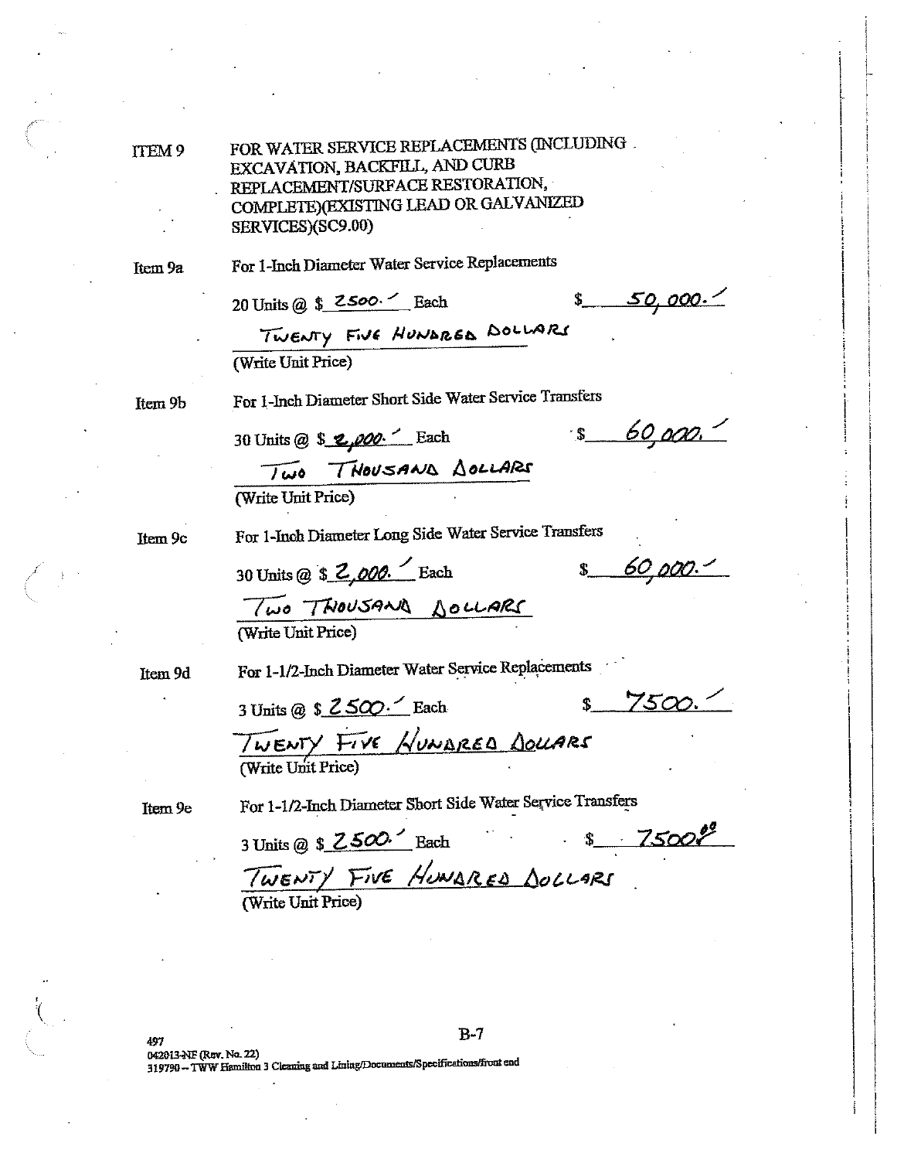ITEM 9

FOR WATER SERVICE REPLACEMENTS (INCLUDING EXCAVATION, BACKFILL, AND CURB REPLACEMENT/SURFACE RESTORATION, COMPLETE)(EXISTING LEAD OR GALVANIZED SERVICES)(SC9.00)

Item 9a

For 1-Inch Diameter Water Service Replacements

20 Units @  $$2500.<sub>7</sub>$  Each

<u>50,000. -</u>

TWENTY FIVE HUNDRED DOLLARS (Write Unit Price)

Item 9b

For 1-Inch Diameter Short Side Water Service Transfers

30 Units @ \$ 2,000. Each

 $s = 60,000.$ 

Two THOUSAND DOLLARS

(Write Unit Price)

Item 9c

For 1-Inch Diameter Long Side Water Service Transfers

30 Units @ \$ 2,000. Each

 $$60,000.$ 

Two THOUSAND DOLLARS (Write Unit Price)

Item 9d

For 1-1/2-Inch Diameter Water Service Replacements

3 Units @ \$ 2500. Each

 $7500.$  $\mathbf S$ 

TWENTY FIVE HUNDRED DOLLARS

Item 9e

For 1-1/2-Inch Diameter Short Side Water Service Transfers

TWENTY FIVE HUNARED DOLLARS<br>(Write Unit Price)

 $B-7$ 

042013-NF (Rev. No. 22) 319790 -- TWW Hamilton 3 Cleaning and Lining/Documents/Specifications/front end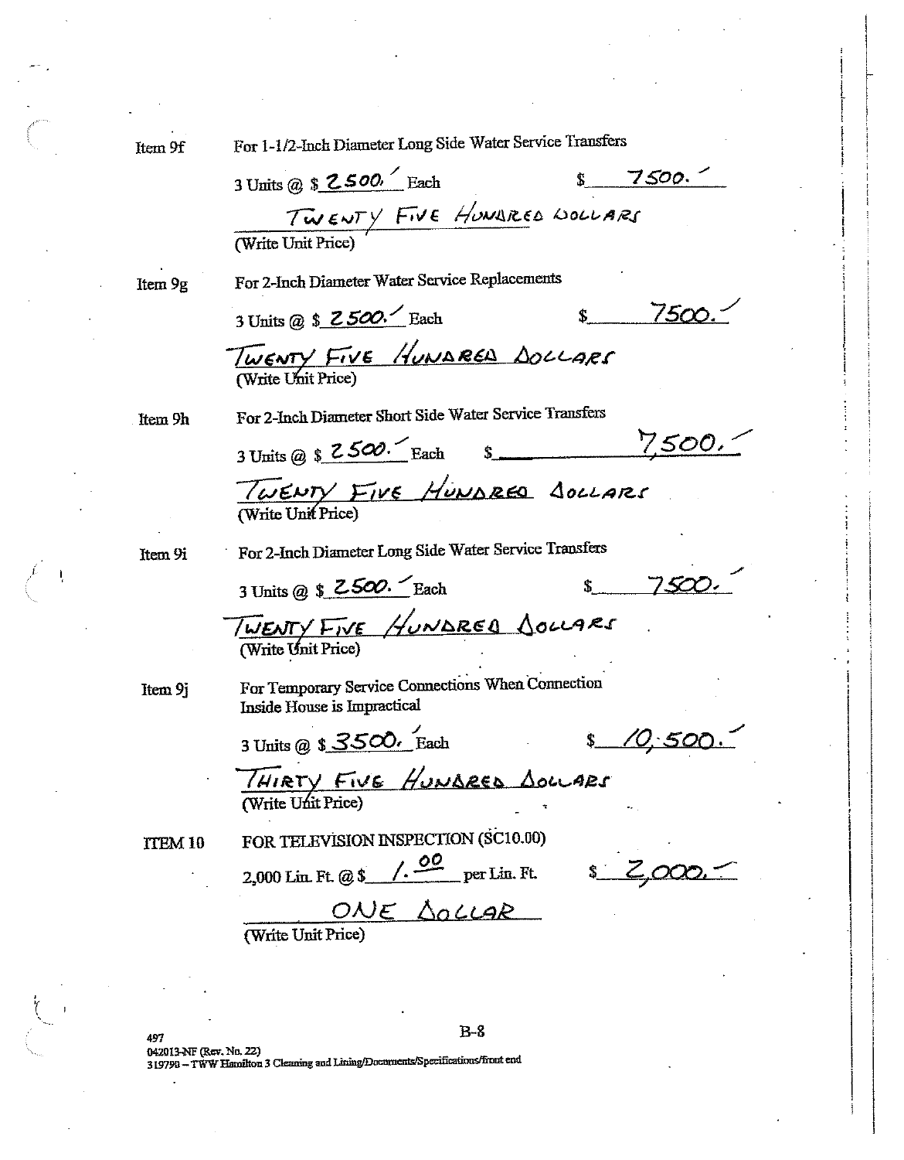Item 9f

Item 9g

Item 9h

Item 9i

Item 9j

**TTEM 10** 

For 1-1/2-Inch Diameter Long Side Water Service Transfers

- Jans W & COUL Each \$7500. For 2-Inch Diameter Water Service Replacements  $s = 7500$ 3 Units @ \$ 2500. Each TWENTY FIVE HUNDRED DOLLARS For 2-Inch Diameter Short Side Water Service Transfers 3 Units @ \$  $2500.$  Each \$ 7500. TWENTY FIVE HUNDRED SOLLARS For 2-Inch Diameter Long Side Water Service Transfers 3 Units @ \$ 2500. Each 7500 TWENTY FIVE HUNDRED JOLLARS For Temporary Service Connections When Connection Inside House is Impractical 3 Units @  $$3500$ . Each  $10.500.$  $\ddot{\bm{S}}$ THIRTY FIVE HUNDRED DOLLARS FOR TELEVISION INSPECTION (SC10.00) 2,000 Lin Ft. @ \$  $\sqrt{. \frac{00}{.}}$  per Lin. Ft. \$  $Z$ ,000. ONE DOLLAR (Write Unit Price)

 $B-8$ 497 042013-NF (Rev. No. 22) 319790 - TWW Hamilton 3 Cleaning and Lining/Documents/Specifications/front end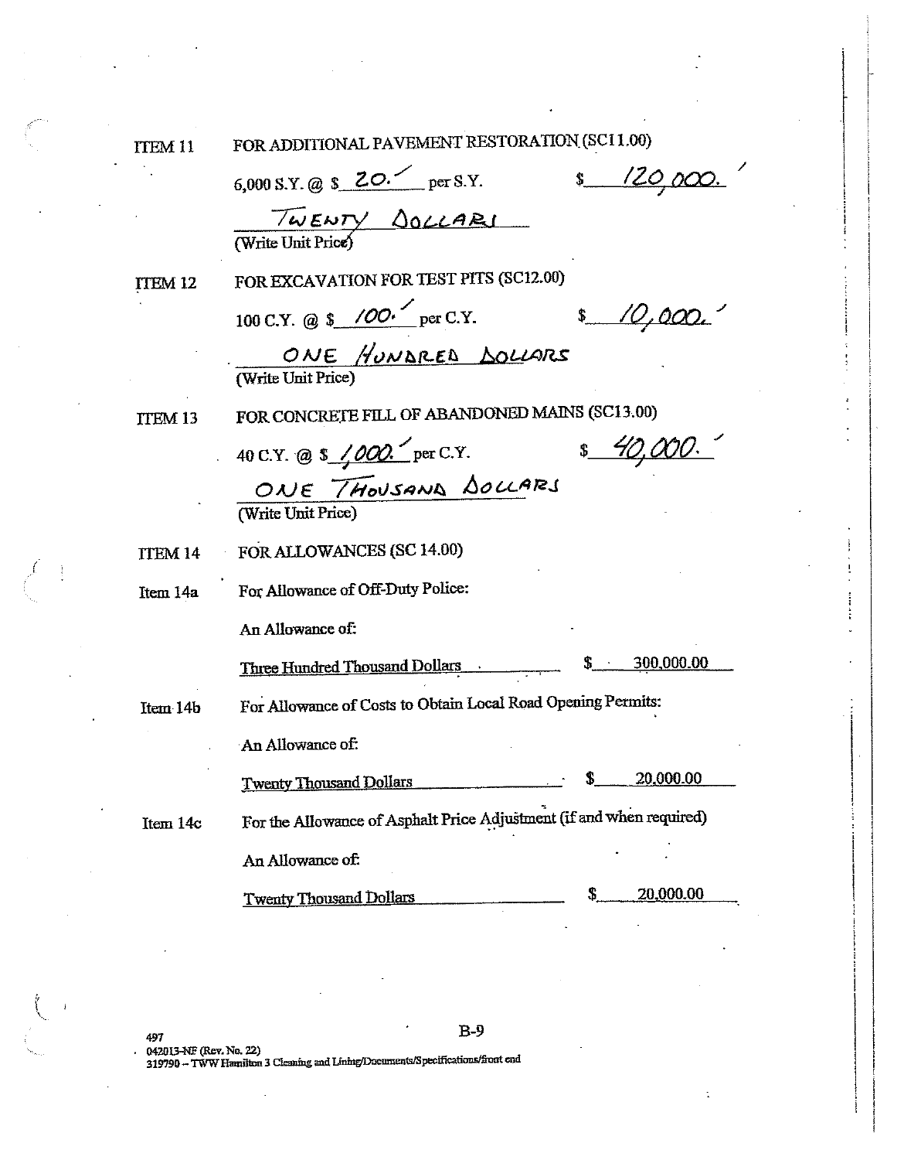ITEM<sub>11</sub>

FOR ADDITIONAL PAVEMENT RESTORATION (SC11.00)

6,000 S.Y. @  $$20.$  per S.Y. \$ 120,000. TWENTY <u>SOLLARI</u><br>(Write Unit Price) FOR EXCAVATION FOR TEST PITS (SC12.00) ITEM 12 100 C.Y. @ \$ /00. per C.Y.  $$10,000.$ ONE HUNDRED DOLLARS FOR CONCRETE FILL OF ABANDONED MAINS (SC13.00) **ITEM 13** \$ 40,000. 40 C.Y. @ \$ /000. per C.Y. ONE THOUSAND DOLLARS FOR ALLOWANCES (SC 14.00) TTEM<sub>14</sub> For Allowance of Off-Duty Police: Item 14a An Allowance of:  $\frac{\$ - 300,000.00}{\$}$ Three Hundred Thousand Dollars For Allowance of Costs to Obtain Local Road Opening Permits: Item 14b An Allowance of: 20,000.00 **Twenty Thousand Dollars** For the Allowance of Asphalt Price Adjustment (if and when required) Item 14c An Allowance of: 20,000.00 **Twenty Thousand Dollars**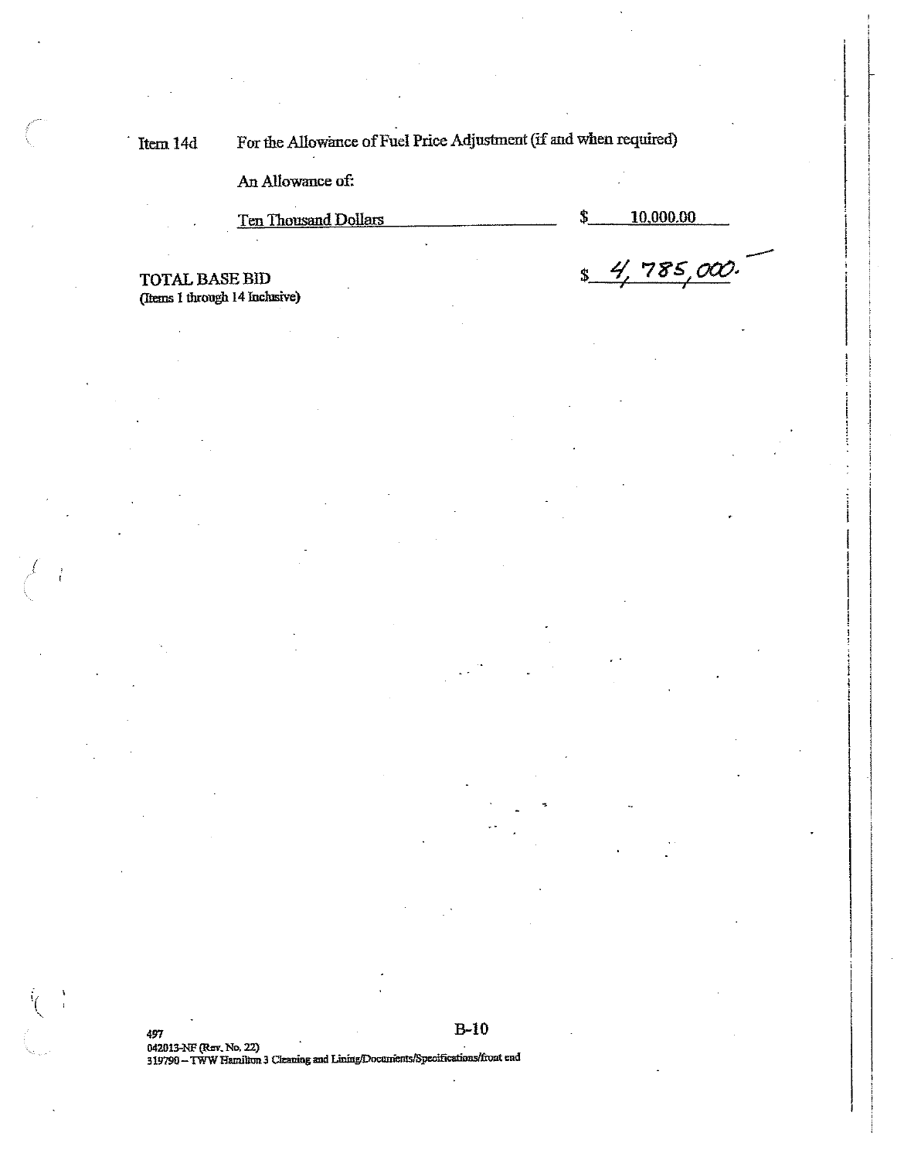For the Allowance of Fuel Price Adjustment (if and when required) Item 14d

An Allowance of:

**Ten Thousand Dollars** 

\$ 10,000.00

 $\ddot{\textbf{S}}$ 

4.

785,000

**TOTAL BASE BID** (Items 1 through 14 Inclusive)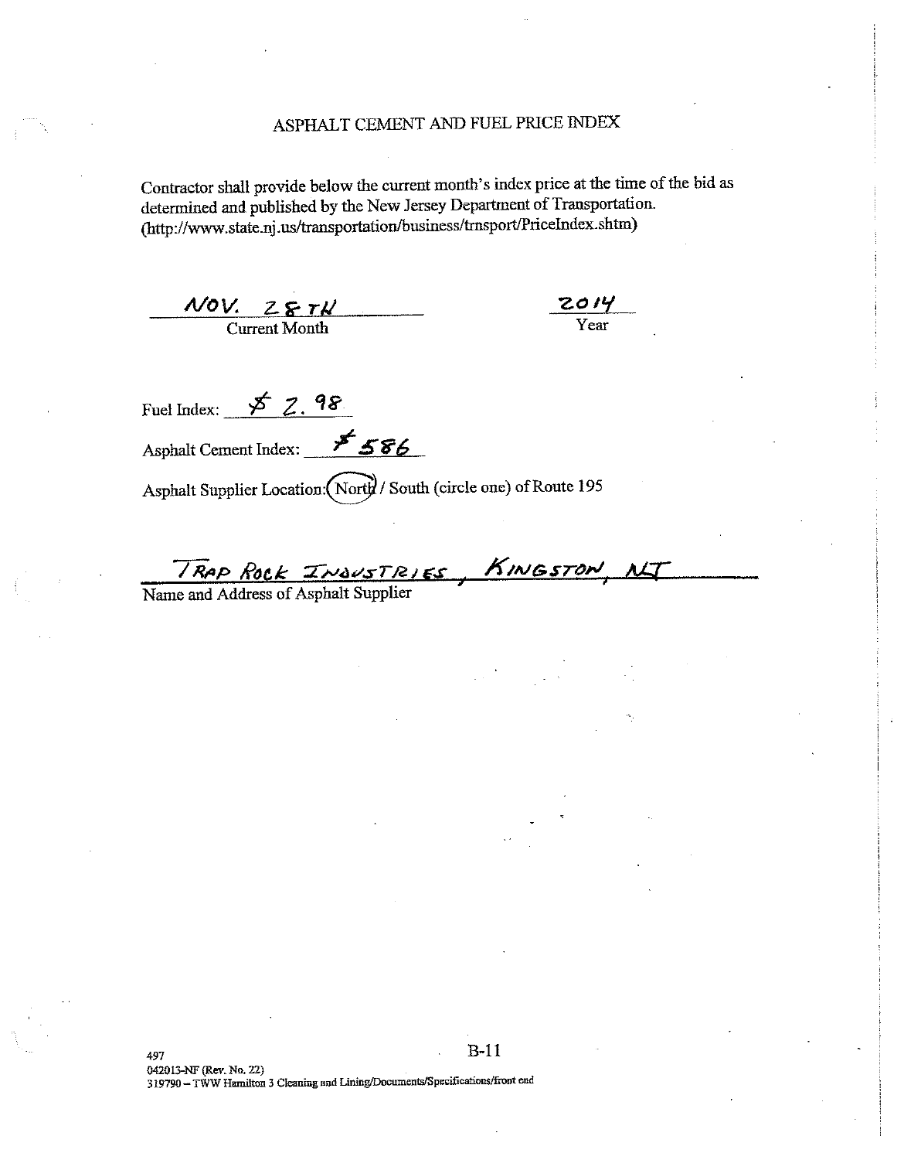## ASPHALT CEMENT AND FUEL PRICE INDEX

Contractor shall provide below the current month's index price at the time of the bid as determined and published by the New Jersey Department of Transportation. (http://www.state.nj.us/transportation/business/trnsport/PriceIndex.shtm)

 $\frac{NOV. Z E T K}{\text{Current Month}}$ 

 $\frac{2014}{\text{Year}}$ 

Fuel Index:  $\cancel{\cancel{5}7.98}$ Asphalt Cement Index: 586

Asphalt Supplier Location: (North / South (circle one) of Route 195

TRAP Rock INDUSTRIES, KINGSTON<br>Name and Address of Asphalt Supplier

 $B-11$ 497 042013-NF (Rev. No. 22) 319790 - TWW Hamilton 3 Cleaning and Lining/Documents/Specifications/front end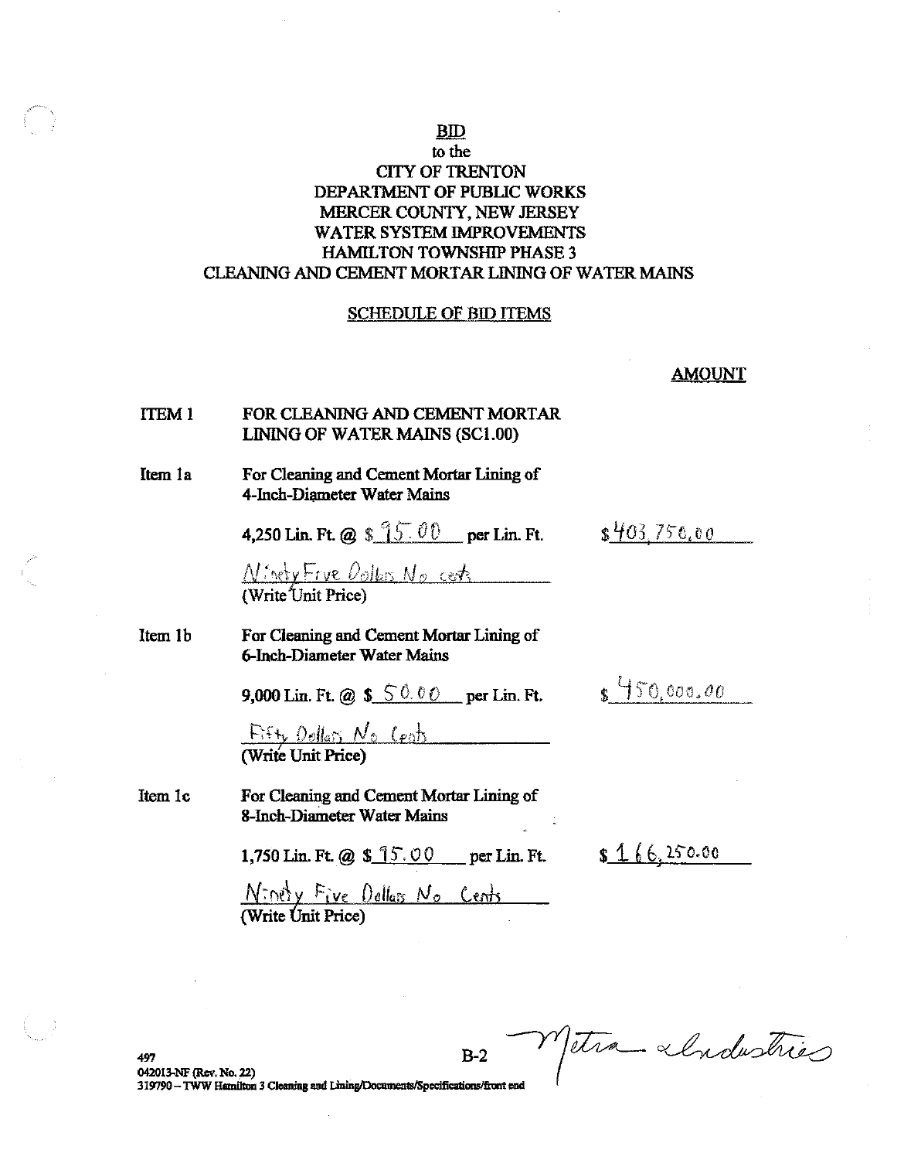## **BID**

## to the **CITY OF TRENTON** DEPARTMENT OF PUBLIC WORKS MERCER COUNTY, NEW JERSEY **WATER SYSTEM IMPROVEMENTS HAMILTON TOWNSHIP PHASE 3** CLEANING AND CEMENT MORTAR LINING OF WATER MAINS

### **SCHEDULE OF BID ITEMS**

**AMOUNT** 

#### FOR CLEANING AND CEMENT MORTAR **ITEM1** LINING OF WATER MAINS (SC1.00)

#### Item 1a For Cleaning and Cement Mortar Lining of 4-Inch-Diameter Water Mains

4,250 Lin. Ft. @  $$95.00$  per Lin. Ft.

 $$403,756,00$ 

 $s\frac{450,000,00}{50,000}$ 

N: nety Frue Dollars No cents

#### Item 1b For Cleaning and Cement Mortar Lining of **6-Inch-Diameter Water Mains**

9,000 Lin. Ft. @  $$6.00$  per Lin. Ft.

Fifty Dellars No Cent

Item 1c For Cleaning and Cement Mortar Lining of 8-Inch-Diameter Water Mains

1,750 Lin. Ft. @  $$15.00$  per Lin. Ft.

 $$166.250.00$ 

 $N\in\mathbb{N}$  Five Dollars No Cents

Metra «Industries  $B-2$ 497 042013-NF (Rev. No. 22) 319790 - TWW Hamilton 3 Cleaning and Lining/Documents/Specifications/front end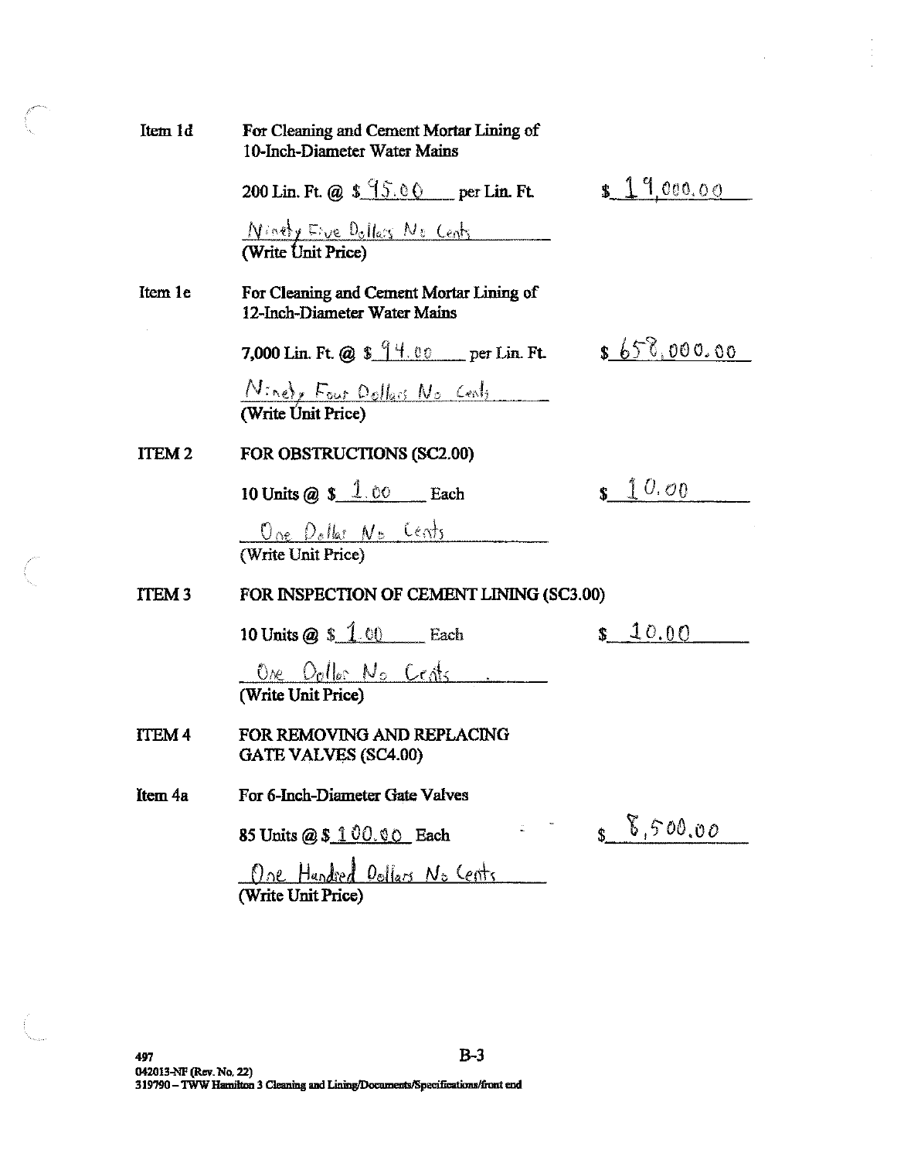| Item 1d           | For Cleaning and Cement Mortar Lining of<br>10-Inch-Diameter Water Mains |                                                                      |
|-------------------|--------------------------------------------------------------------------|----------------------------------------------------------------------|
|                   | 200 Lin. Ft. @ $$95.00$ per Lin. Ft.                                     | \$19,000.00                                                          |
|                   | Ninety Eive Dollars No Cents<br>(Write Unit Price)                       |                                                                      |
| Item 1e           | For Cleaning and Cement Mortar Lining of<br>12-Inch-Diameter Water Mains |                                                                      |
|                   | 7,000 Lin. Ft. @ $\frac{14.00}{14.00}$ per Lin. Ft.                      | \$650,000.00                                                         |
|                   | Ninety Four Dollars No Cents<br>(Write Unit Price)                       |                                                                      |
| ITEM <sub>2</sub> | FOR OBSTRUCTIONS (SC2.00)                                                |                                                                      |
|                   | 10 Units @ $$1.00$ Each                                                  | $s \sqrt{10.00}$                                                     |
|                   | One Dollar No Cents<br>(Write Unit Price)                                |                                                                      |
| ITEM <sub>3</sub> | FOR INSPECTION OF CEMENT LINING (SC3.00)                                 |                                                                      |
|                   | 10 Units $\omega$ \$ 1.00 Each                                           | \$10.00                                                              |
|                   | One Oolles No Cents<br>(Write Unit Price)                                |                                                                      |
| <b>ITEM4</b>      | FOR REMOVING AND REPLACING<br>GATE VALVES (SC4.00)                       |                                                                      |
| Item 4a           | For 6-Inch-Diameter Gate Valves                                          |                                                                      |
|                   | 85 Units @ \$ 100.00 Each                                                | $\begin{array}{cc} 8 & 0.5 & 0.0 & 0.0 \\ 0 & 0 & 0 & 0 \end{array}$ |
|                   | One Hundred Dollars No Cents<br>(Write Unit Price)                       |                                                                      |

 $\overline{\phantom{a}}$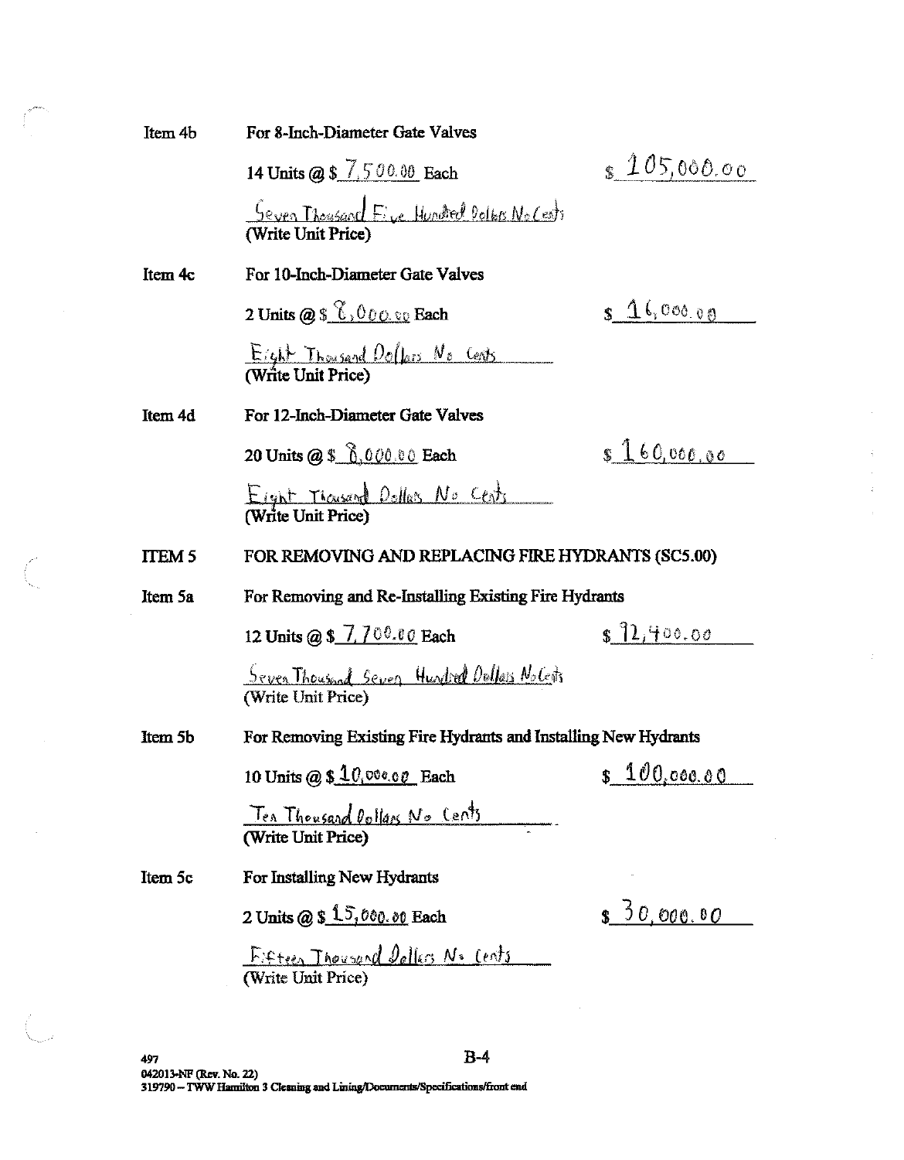| Item 4b       | For 8-Inch-Diameter Gate Valves                                            |                 |
|---------------|----------------------------------------------------------------------------|-----------------|
|               | 14 Units @ \$ 7,500.00 Each                                                | \$105,000.00    |
|               | Seven Thousand Five Hundred Oolbis No Cests<br>(Write Unit Price)          |                 |
| Item 4c       | For 10-Inch-Diameter Gate Valves                                           |                 |
|               | 2 Units $@56.00000$ Each                                                   | $s \, 16,00000$ |
|               | <u>Eight Thousand Dollars No Cents</u><br>(Write Unit Price)               |                 |
| Item 4d       | For 12-Inch-Diameter Gate Valves                                           |                 |
|               | 20 Units @ \$ 0.000.00 Each                                                | \$160,060,00    |
|               | Eight Thousand Dollars No Cents                                            |                 |
| <b>ITEM 5</b> |                                                                            |                 |
|               | FOR REMOVING AND REPLACING FIRE HYDRANTS (SC5.00)                          |                 |
| Item 5a       | For Removing and Re-Installing Existing Fire Hydrants                      |                 |
|               | 12 Units @ \$ 7,700.00 Each                                                | \$72,400.00     |
|               | <u>Seven Thousand Seven</u> Hundred Oullars No Cents<br>(Write Unit Price) |                 |
| Item 5b       | For Removing Existing Fire Hydrants and Installing New Hydrants            |                 |
|               | 10 Units @ $$10,000.00$ Each                                               | s 100,000.00    |
|               | Ten Thousand Dollars No Cents<br>(Write Unit Price)                        |                 |
| Item 5c       | For Installing New Hydrants                                                |                 |
|               | 2 Units $@5 \overset{1}{1} \overset{5}{0}$ , 000.00 Each                   | \$50,000.00     |

Ţ.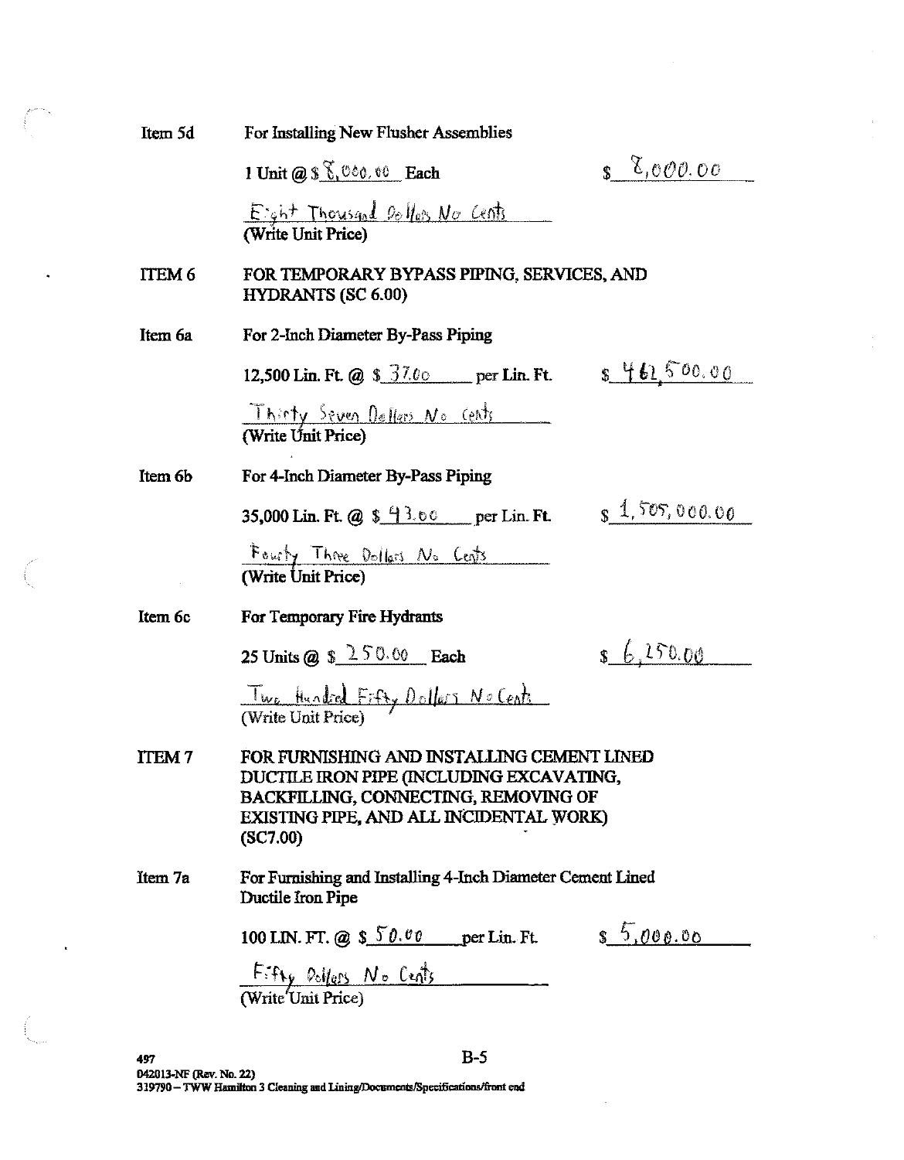| Item 5d           | For Installing New Flusher Assemblies                                                                                                                                                        |
|-------------------|----------------------------------------------------------------------------------------------------------------------------------------------------------------------------------------------|
|                   | $\delta$ ,000.00<br>1 Unit $@S \S$ , $@co$ , $@$ Each                                                                                                                                        |
|                   | Eight Thousand Dollars No Cents                                                                                                                                                              |
| ITEM <sub>6</sub> | FOR TEMPORARY BYPASS PIPING, SERVICES, AND<br><b>HYDRANTS (SC 6.00)</b>                                                                                                                      |
| Item 6a           | For 2-Inch Diameter By-Pass Piping                                                                                                                                                           |
|                   | 8461,500.00<br>12,500 Lin. Ft. @ $$37.00$ per Lin. Ft.                                                                                                                                       |
|                   | Thirty Seven Dellers No cents<br>(Write Unit Price)                                                                                                                                          |
| Item 6b           | For 4-Inch Diameter By-Pass Piping                                                                                                                                                           |
|                   | $s$ 1, 505, 000.00<br>35,000 Lin. Ft. @ $\frac{13.60}{13.00}$ per Lin. Ft.                                                                                                                   |
|                   | Fourty Three Dollars No Cents<br>(Write Unit Price)                                                                                                                                          |
| Item 6c           | For Temporary Fire Hydrants                                                                                                                                                                  |
|                   | \$6,250.00<br>25 Units @ $$250.00$ Each                                                                                                                                                      |
|                   | Two Hundred Fifty Dollars No Cents                                                                                                                                                           |
| <b>ITEM7</b>      | FOR FURNISHING AND INSTALLING CEMENT LINED<br>DUCTILE IRON PIPE (INCLUDING EXCAVATING,<br><b>BACKFILLING, CONNECTING, REMOVING OF</b><br>EXISTING PIPE, AND ALL INCIDENTAL WORK)<br>(SC7.00) |
| Item 7a           | For Furnishing and Installing 4-Inch Diameter Cement Lined<br>Ductile Iron Pipe                                                                                                              |
|                   | \$5,000.00<br>100 LIN. FT. @ $$50.00$ per Lin. Ft.                                                                                                                                           |
|                   | $\frac{F: f_{\text{Hy}} \circ \text{bigs} N \circ \text{right}}{(Write Unit Price)}$                                                                                                         |

 $\ddot{\phantom{0}}$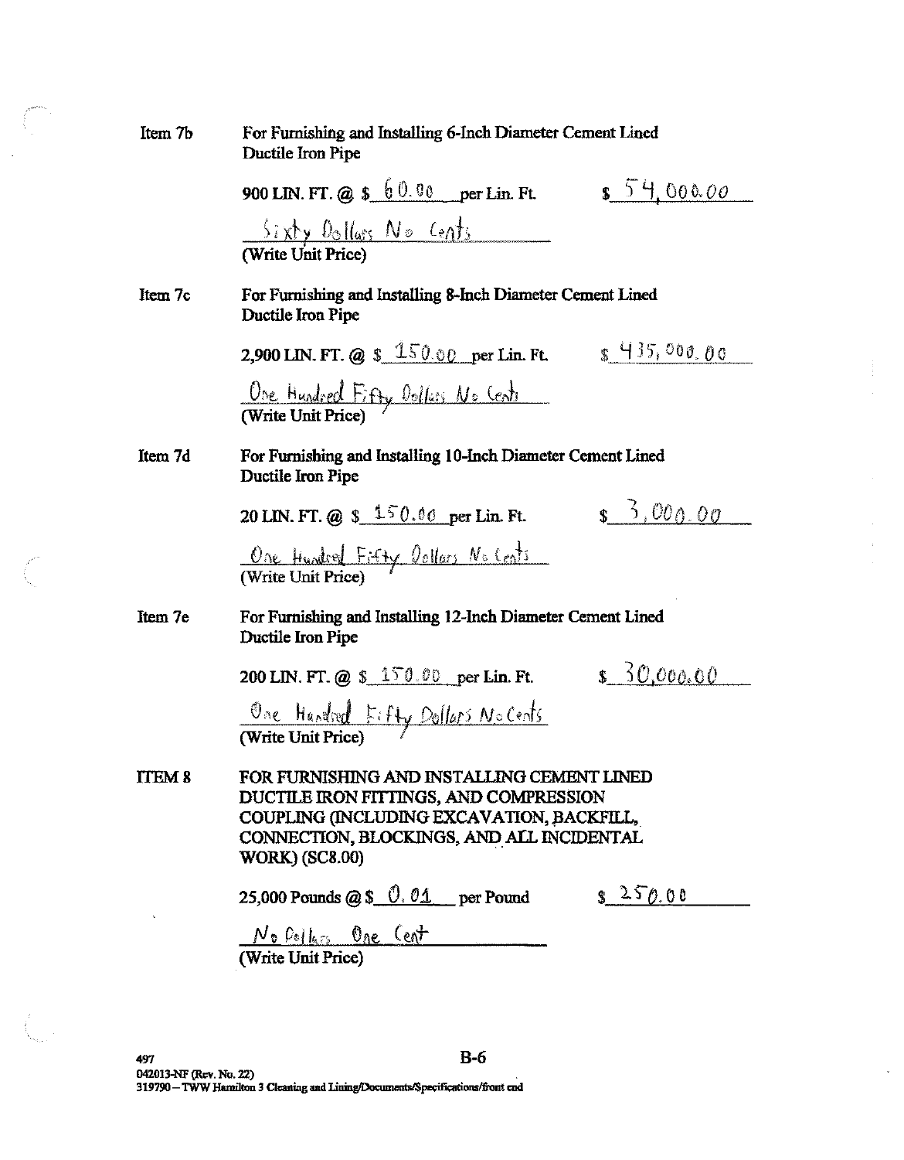| Item 7b | For Furnishing and Installing 6-Inch Diameter Cement Lined<br>Ductile Iron Pipe                                                                                                                         |  |  |
|---------|---------------------------------------------------------------------------------------------------------------------------------------------------------------------------------------------------------|--|--|
|         | 900 LIN. FT. @ $$60.00$ per Lin. Ft.<br>554,00000                                                                                                                                                       |  |  |
|         | $\frac{5i x \cancel{y} \cdot 0}{1 - 1 - 1}$<br>(Write Unit Price)                                                                                                                                       |  |  |
| Item 7c | For Furnishing and Installing 8-Inch Diameter Cement Lined<br>Ductile Iron Pipe                                                                                                                         |  |  |
|         | \$435,000,00<br>2,900 LIN. FT. @ $$ 150.00$ per Lin. Ft.                                                                                                                                                |  |  |
|         | One Hundred Fifty Dollars No Cents                                                                                                                                                                      |  |  |
| Item 7d | For Furnishing and Installing 10-Inch Diameter Cement Lined<br>Ductile Iron Pipe                                                                                                                        |  |  |
|         | $$^{6}$ , 000.00<br>20 LIN. FT. @ $$150.00$ per Lin. Ft.                                                                                                                                                |  |  |
|         | One Hundred Fifty Dollars No Cents                                                                                                                                                                      |  |  |
| Item 7e | For Furnishing and Installing 12-Inch Diameter Cement Lined<br>Ductile Iron Pipe                                                                                                                        |  |  |
|         | \$50,000,00<br>200 LIN. FT. @ $$150.00$ per Lin. Ft.                                                                                                                                                    |  |  |
|         | One Hundred Fifty Dollars No Cents                                                                                                                                                                      |  |  |
| ITEM 8  | FOR FURNISHING AND INSTALLING CEMENT LINED<br>DUCTILE IRON FITTINGS, AND COMPRESSION<br>COUPLING (INCLUDING EXCAVATION, BACKFILL,<br>CONNECTION, BLOCKINGS, AND ALL INCIDENTAL<br><b>WORK) (SC8.00)</b> |  |  |
|         | $s^{250.00}$<br>25,000 Pounds @ \$ $0.01$ per Pound                                                                                                                                                     |  |  |
|         | <u>No Pollers One Cent</u><br>(Write Unit Price)                                                                                                                                                        |  |  |

à.

 $\bar{\mathcal{L}}$ 

 $\int\limits_{-\infty}^{\infty} \frac{e^{-\lambda t}}{t} \, dt = \int\limits_{-\infty}^{\infty} \frac{e^{-\lambda t}}{t} \, dt$ 

 $\left\langle \right\rangle$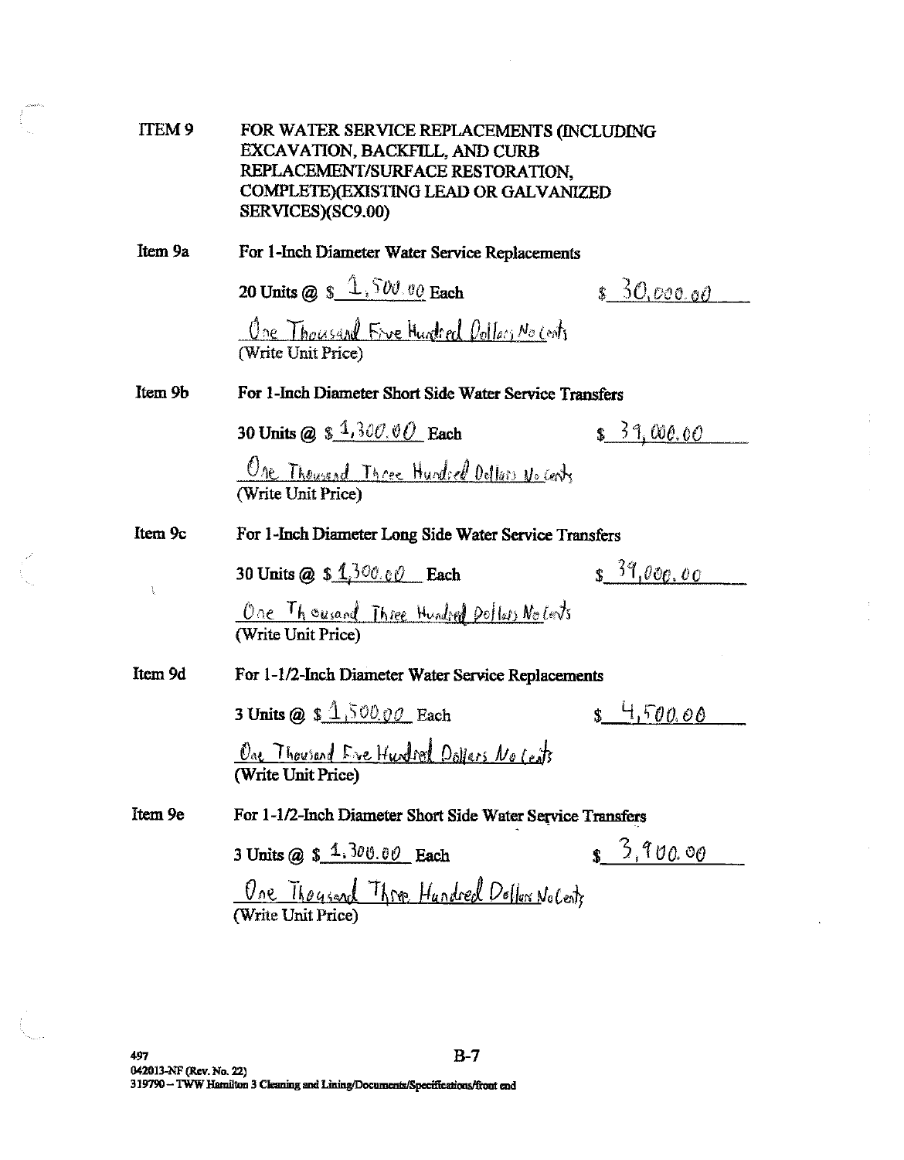| ITEM <sub>9</sub> | FOR WATER SERVICE REPLACEMENTS (INCLUDING<br><b>EXCAVATION, BACKFILL, AND CURB</b><br>REPLACEMENT/SURFACE RESTORATION,<br>COMPLETE)(EXISTING LEAD OR GALVANIZED<br>SERVICES)(SC9.00) |                  |
|-------------------|--------------------------------------------------------------------------------------------------------------------------------------------------------------------------------------|------------------|
| Item 9a           | For 1-Inch Diameter Water Service Replacements                                                                                                                                       |                  |
|                   | 20 Units @ $\frac{1}{2}$ , $\frac{1}{2}$ , $\frac{1}{2}$ , $\frac{1}{2}$ , $\frac{1}{2}$ Each                                                                                        | \$30,000.00      |
|                   | One Thousand Five Hundred Dollars No Cents<br>(Write Unit Price)                                                                                                                     |                  |
| Item 9b           | For 1-Inch Diameter Short Side Water Service Transfers                                                                                                                               |                  |
|                   | 30 Units @ $$1,300.00$ Each                                                                                                                                                          | 3, 31, 000.00    |
|                   | One Thousend Three Hundred Oollers No Center<br>(Write Unit Price)                                                                                                                   |                  |
| Item 9c           | For 1-Inch Diameter Long Side Water Service Transfers                                                                                                                                |                  |
| $\mathbf{1}$      | 30 Units @ $$1,300.60$ Each                                                                                                                                                          | $s^{39}$ ,000,00 |
|                   | <u>One Thousand Three Hundred Dollars Notents</u><br>(Write Unit Price)                                                                                                              |                  |
| Item 9d           | For 1-1/2-Inch Diameter Water Service Replacements                                                                                                                                   |                  |
|                   | 3 Units @ $$4,500,00$ Each                                                                                                                                                           | $s$ 4,500.00     |
|                   | One Thousand Eve Hundred Dollars No Cents<br>(Write Unit Price)                                                                                                                      |                  |
| Item 9e           | For 1-1/2-Inch Diameter Short Side Water Service Transfers                                                                                                                           |                  |
|                   | 3 Units @ $$4,300.00$ Each                                                                                                                                                           | $s^{3,900.00}$   |
|                   | <u>One Thousand Three Hundred Dellar NoCents</u><br>(Write Unit Price)                                                                                                               |                  |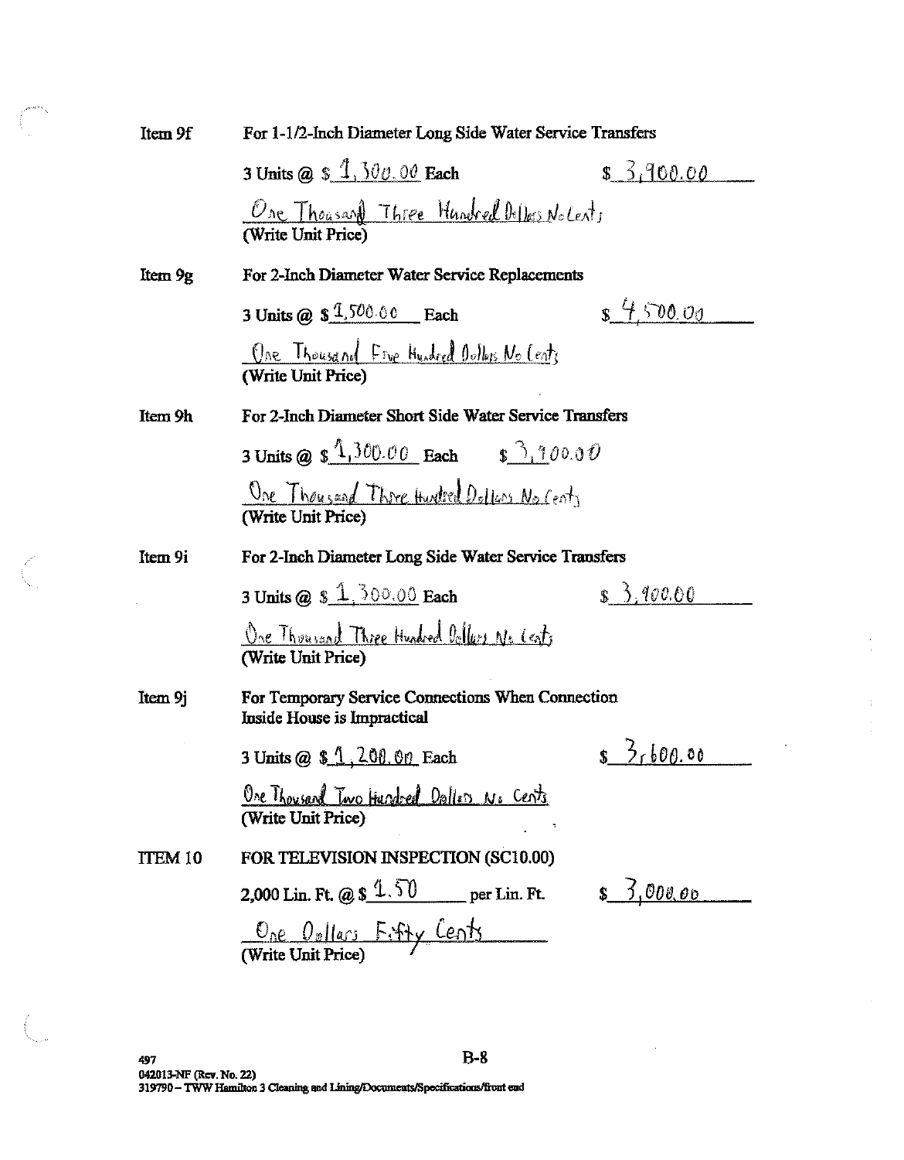| Item 9f        | For 1-1/2-Inch Diameter Long Side Water Service Transfers                        |                        |  |
|----------------|----------------------------------------------------------------------------------|------------------------|--|
|                | 3 Units @ $$1,300.00$ Each                                                       | \$3,900.00             |  |
|                | <u>One Thousand Three Hundred Dellers Notents</u><br>(Write Unit Price)          |                        |  |
| Item 9g        | For 2-Inch Diameter Water Service Replacements                                   |                        |  |
|                | 3 Units @ $$1,500.00$ Each                                                       | $s$ 4,500.00           |  |
|                | One Thousand Five Hundred Outlets No Cents<br>(Write Unit Price)                 |                        |  |
| Item 9h        | For 2-Inch Diameter Short Side Water Service Transfers                           |                        |  |
|                | 3 Units @ $\frac{1300.00}{2}$ Each $\frac{33.100.00}{2}$                         |                        |  |
|                | One Thousand Three Hurdred Delless No Cents<br>(Write Unit Price)                |                        |  |
| Item 9i        | For 2-Inch Diameter Long Side Water Service Transfers                            |                        |  |
|                | 3 Units @ $$1,300.00$ Each                                                       | $\frac{1}{2}$ , 400.60 |  |
|                | One Thousand Three Hundred Dollars No Cents<br>(Write Unit Price)                |                        |  |
| Item 9j        | For Temporary Service Connections When Connection<br>Inside House is Impractical |                        |  |
|                | 3 Units @ $$1, 200.00$ Each                                                      | $s \frac{3}{1600.00}$  |  |
|                | Ore Thousard Two Hundeed Dallers No Cents<br>(Write Unit Price)                  |                        |  |
| <b>ITEM 10</b> | FOR TELEVISION INSPECTION (SC10.00)                                              |                        |  |
|                | 2,000 Lin. Ft. @ \$ $1.50$ per Lin. Ft.                                          | <u>s 3,000.00</u>      |  |
|                | One Opllars Fifty Cents<br>(Write Unit Price)                                    |                        |  |

 $\int\limits_{\frac{1}{2}-\frac{1}{2}}^{\frac{1}{2}}\frac{e^{i\theta}}{2\pi i}e^{i\theta}dt$ 

 $\overline{\phantom{a}}$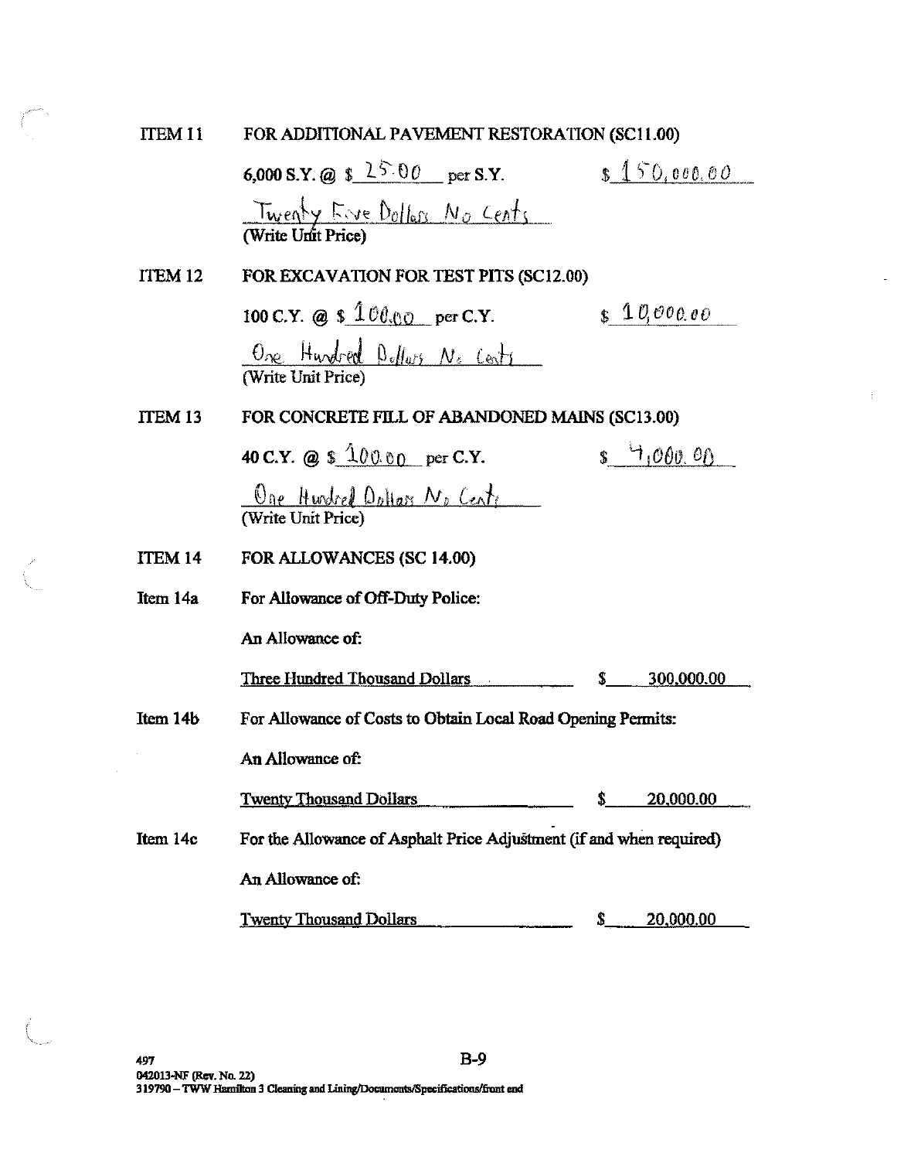FOR ADDITIONAL PAVEMENT RESTORATION (SC11.00) ITEM 11

 $\begin{picture}(20,20) \put(0,0){\line(1,0){10}} \put(15,0){\line(1,0){10}} \put(15,0){\line(1,0){10}} \put(15,0){\line(1,0){10}} \put(15,0){\line(1,0){10}} \put(15,0){\line(1,0){10}} \put(15,0){\line(1,0){10}} \put(15,0){\line(1,0){10}} \put(15,0){\line(1,0){10}} \put(15,0){\line(1,0){10}} \put(15,0){\line(1,0){10}} \put(15,0){\line(1$ 

|                    | 6,000 S.Y. @ $$25.00$ per S.Y.                                       |    | \$150,000.00     |
|--------------------|----------------------------------------------------------------------|----|------------------|
|                    | Twenty Eive Dollars No Cents<br>(Write Unit Price)                   |    |                  |
| ITEM <sub>12</sub> | FOR EXCAVATION FOR TEST PITS (SC12.00)                               |    |                  |
|                    | 100 C.Y. @ \$ $100.00$ per C.Y.                                      |    | $\int 10,000,00$ |
|                    | One Hundred Dollars No Cents<br>(Write Unit Price)                   |    |                  |
| <b>ITEM 13</b>     | FOR CONCRETE FILL OF ABANDONED MAINS (SC13.00)                       |    |                  |
|                    | 40 C.Y. @ $$ 10000$ per C.Y.                                         |    | $s$ $1000.00$    |
|                    | <u>Oge Hurdred Oplian No Cente</u><br>(Write Unit Price)             |    |                  |
| ITEM 14            | FOR ALLOWANCES (SC 14.00)                                            |    |                  |
| Item 14a           | For Allowance of Off-Duty Police:                                    |    |                  |
|                    | An Allowance of:                                                     |    |                  |
|                    | Three Hundred Thousand Dollars                                       | \$ | 300,000.00       |
| Item 14b           | For Allowance of Costs to Obtain Local Road Opening Permits:         |    |                  |
|                    | An Allowance of:                                                     |    |                  |
|                    | <u>Twenty Thousand Dollars</u>                                       | \$ | 20,000.00        |
| Item 14c           | For the Allowance of Asphalt Price Adjustment (if and when required) |    |                  |
|                    | An Allowance of:                                                     |    |                  |
|                    | <b>Twenty Thousand Dollars</b>                                       | \$ | 20,000.00        |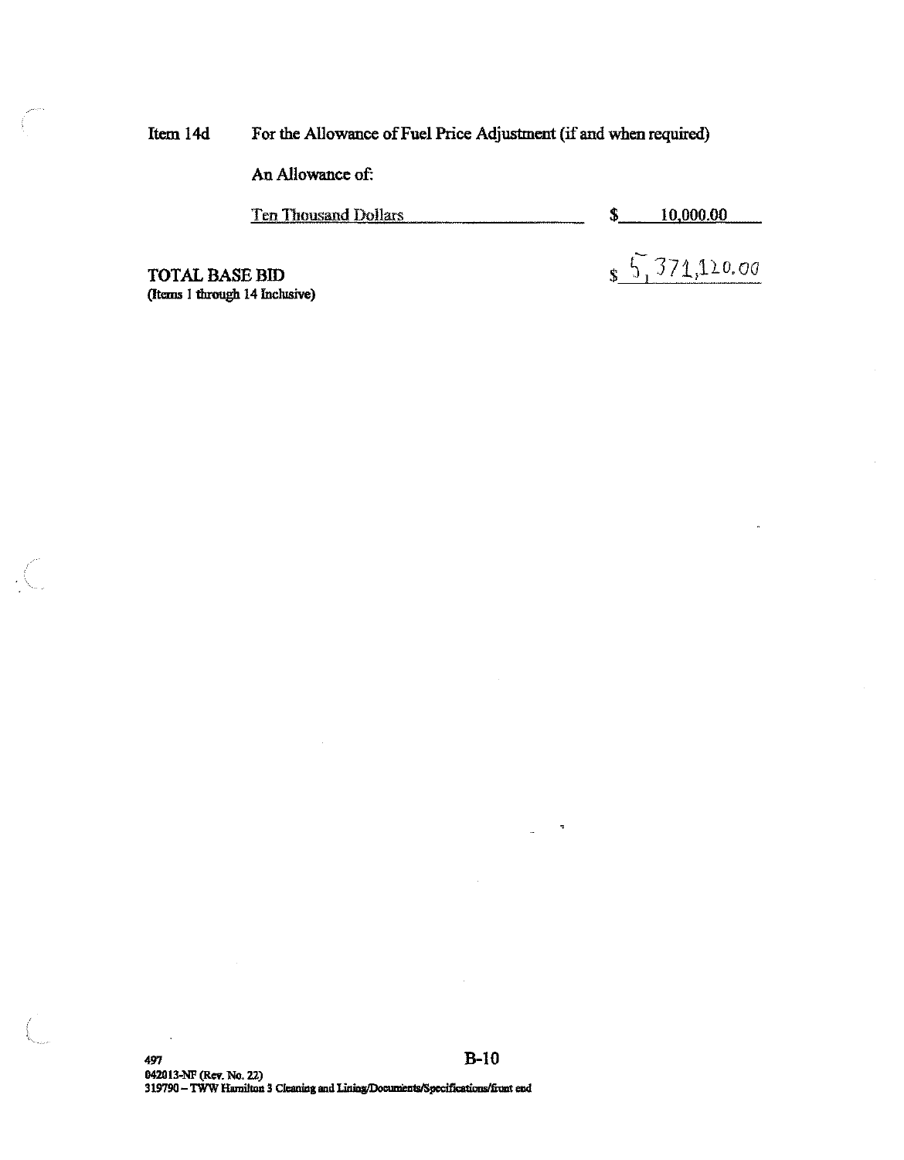For the Allowance of Fuel Price Adjustment (if and when required) Item 14d

An Allowance of:

**Ten Thousand Dollars** 10,000.00 \$

 $\frac{5}{1}$  371,120.00

**TOTAL BASE BID** (Items 1 through 14 Inclusive)